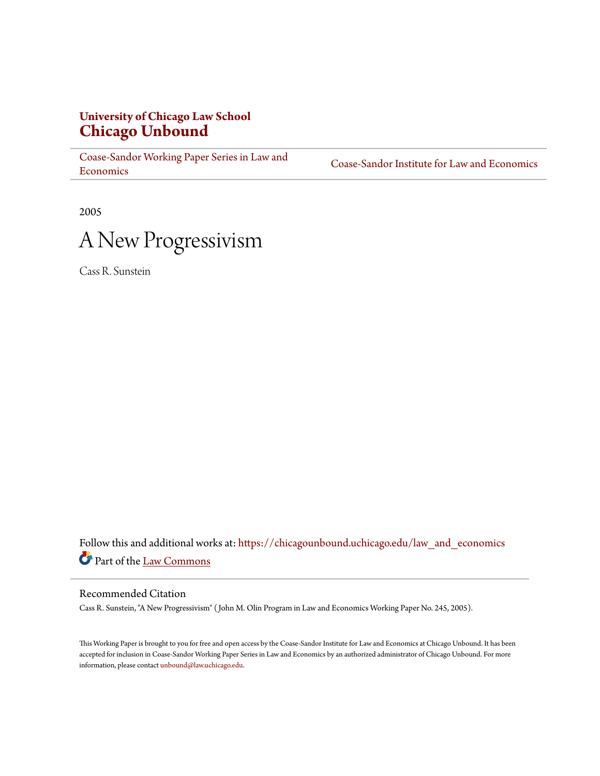# **University of Chicago Law School [Chicago Unbound](https://chicagounbound.uchicago.edu?utm_source=chicagounbound.uchicago.edu%2Flaw_and_economics%2F11&utm_medium=PDF&utm_campaign=PDFCoverPages)**

[Coase-Sandor Working Paper Series in Law and](https://chicagounbound.uchicago.edu/law_and_economics?utm_source=chicagounbound.uchicago.edu%2Flaw_and_economics%2F11&utm_medium=PDF&utm_campaign=PDFCoverPages) [Economics](https://chicagounbound.uchicago.edu/law_and_economics?utm_source=chicagounbound.uchicago.edu%2Flaw_and_economics%2F11&utm_medium=PDF&utm_campaign=PDFCoverPages)

[Coase-Sandor Institute for Law and Economics](https://chicagounbound.uchicago.edu/coase_sandor_institute?utm_source=chicagounbound.uchicago.edu%2Flaw_and_economics%2F11&utm_medium=PDF&utm_campaign=PDFCoverPages)

2005



Cass R. Sunstein

Follow this and additional works at: [https://chicagounbound.uchicago.edu/law\\_and\\_economics](https://chicagounbound.uchicago.edu/law_and_economics?utm_source=chicagounbound.uchicago.edu%2Flaw_and_economics%2F11&utm_medium=PDF&utm_campaign=PDFCoverPages) Part of the [Law Commons](http://network.bepress.com/hgg/discipline/578?utm_source=chicagounbound.uchicago.edu%2Flaw_and_economics%2F11&utm_medium=PDF&utm_campaign=PDFCoverPages)

## Recommended Citation

Cass R. Sunstein, "A New Progressivism" ( John M. Olin Program in Law and Economics Working Paper No. 245, 2005).

This Working Paper is brought to you for free and open access by the Coase-Sandor Institute for Law and Economics at Chicago Unbound. It has been accepted for inclusion in Coase-Sandor Working Paper Series in Law and Economics by an authorized administrator of Chicago Unbound. For more information, please contact [unbound@law.uchicago.edu.](mailto:unbound@law.uchicago.edu)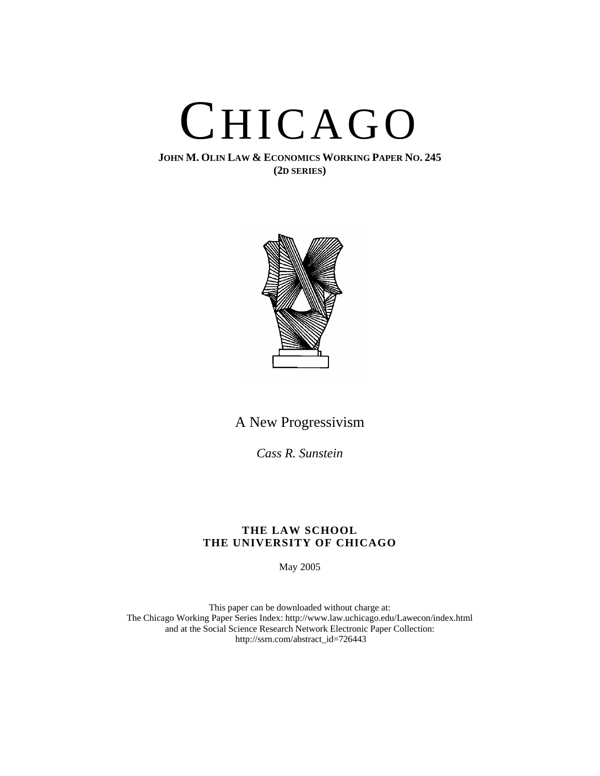

**JOHN M. OLIN LAW & ECONOMICS WORKING PAPER NO. 245 (2D SERIES)**



A New Progressivism

*Cass R. Sunstein*

## **THE LAW SCHOOL THE UNIVERSITY OF CHICAGO**

May 2005

This paper can be downloaded without charge at: The Chicago Working Paper Series Index: http://www.law.uchicago.edu/Lawecon/index.html and at the Social Science Research Network Electronic Paper Collection: http://ssrn.com/abstract\_id=726443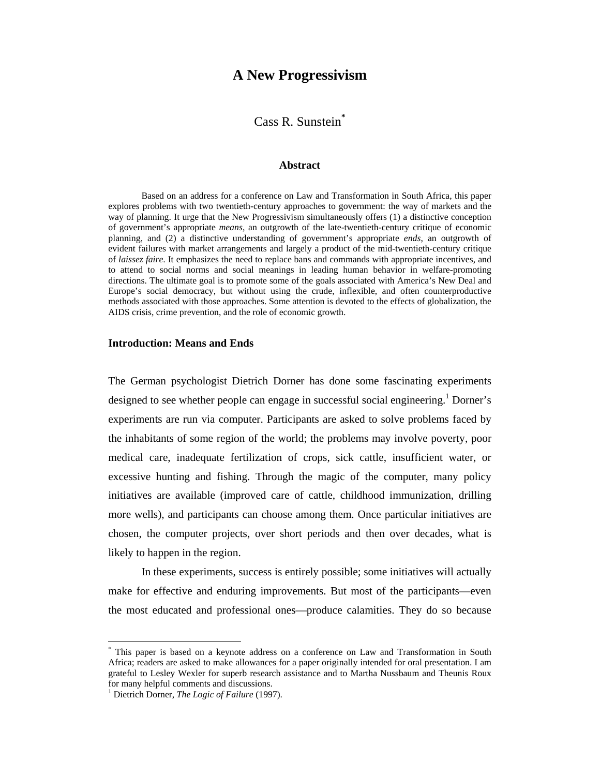# **A New Progressivism**

Cass R. Sunstein**\***

#### **Abstract**

Based on an address for a conference on Law and Transformation in South Africa, this paper explores problems with two twentieth-century approaches to government: the way of markets and the way of planning. It urge that the New Progressivism simultaneously offers (1) a distinctive conception of government's appropriate *means*, an outgrowth of the late-twentieth-century critique of economic planning, and (2) a distinctive understanding of government's appropriate *ends*, an outgrowth of evident failures with market arrangements and largely a product of the mid-twentieth-century critique of *laissez faire*. It emphasizes the need to replace bans and commands with appropriate incentives, and to attend to social norms and social meanings in leading human behavior in welfare-promoting directions. The ultimate goal is to promote some of the goals associated with America's New Deal and Europe's social democracy, but without using the crude, inflexible, and often counterproductive methods associated with those approaches. Some attention is devoted to the effects of globalization, the AIDS crisis, crime prevention, and the role of economic growth.

### **Introduction: Means and Ends**

The German psychologist Dietrich Dorner has done some fascinating experiments designed to see whether people can engage in successful social engineering.<sup>1</sup> Dorner's experiments are run via computer. Participants are asked to solve problems faced by the inhabitants of some region of the world; the problems may involve poverty, poor medical care, inadequate fertilization of crops, sick cattle, insufficient water, or excessive hunting and fishing. Through the magic of the computer, many policy initiatives are available (improved care of cattle, childhood immunization, drilling more wells), and participants can choose among them. Once particular initiatives are chosen, the computer projects, over short periods and then over decades, what is likely to happen in the region.

In these experiments, success is entirely possible; some initiatives will actually make for effective and enduring improvements. But most of the participants—even the most educated and professional ones—produce calamities. They do so because

<sup>\*</sup> This paper is based on a keynote address on a conference on Law and Transformation in South Africa; readers are asked to make allowances for a paper originally intended for oral presentation. I am grateful to Lesley Wexler for superb research assistance and to Martha Nussbaum and Theunis Roux for many helpful comments and discussions.

<sup>1</sup> Dietrich Dorner, *The Logic of Failure* (1997).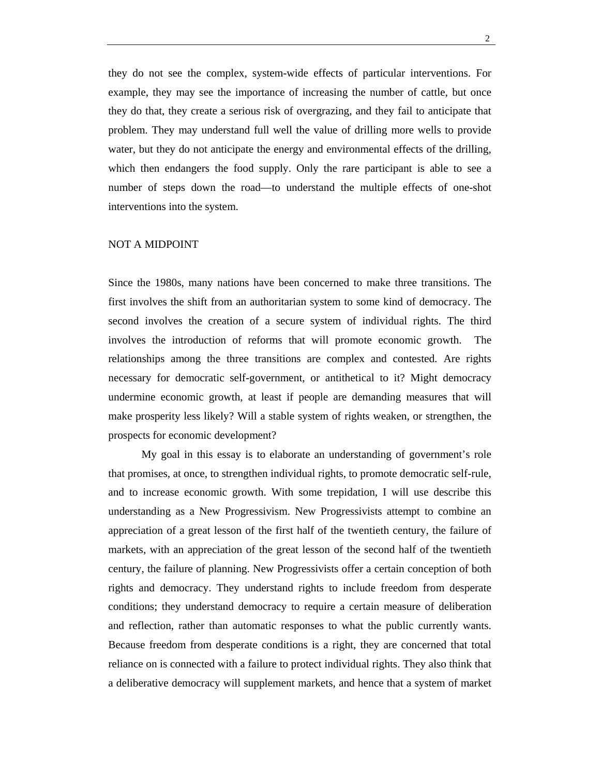they do not see the complex, system-wide effects of particular interventions. For example, they may see the importance of increasing the number of cattle, but once they do that, they create a serious risk of overgrazing, and they fail to anticipate that problem. They may understand full well the value of drilling more wells to provide water, but they do not anticipate the energy and environmental effects of the drilling, which then endangers the food supply. Only the rare participant is able to see a number of steps down the road—to understand the multiple effects of one-shot interventions into the system.

#### NOT A MIDPOINT

Since the 1980s, many nations have been concerned to make three transitions. The first involves the shift from an authoritarian system to some kind of democracy. The second involves the creation of a secure system of individual rights. The third involves the introduction of reforms that will promote economic growth. The relationships among the three transitions are complex and contested. Are rights necessary for democratic self-government, or antithetical to it? Might democracy undermine economic growth, at least if people are demanding measures that will make prosperity less likely? Will a stable system of rights weaken, or strengthen, the prospects for economic development?

My goal in this essay is to elaborate an understanding of government's role that promises, at once, to strengthen individual rights, to promote democratic self-rule, and to increase economic growth. With some trepidation, I will use describe this understanding as a New Progressivism. New Progressivists attempt to combine an appreciation of a great lesson of the first half of the twentieth century, the failure of markets, with an appreciation of the great lesson of the second half of the twentieth century, the failure of planning. New Progressivists offer a certain conception of both rights and democracy. They understand rights to include freedom from desperate conditions; they understand democracy to require a certain measure of deliberation and reflection, rather than automatic responses to what the public currently wants. Because freedom from desperate conditions is a right, they are concerned that total reliance on is connected with a failure to protect individual rights. They also think that a deliberative democracy will supplement markets, and hence that a system of market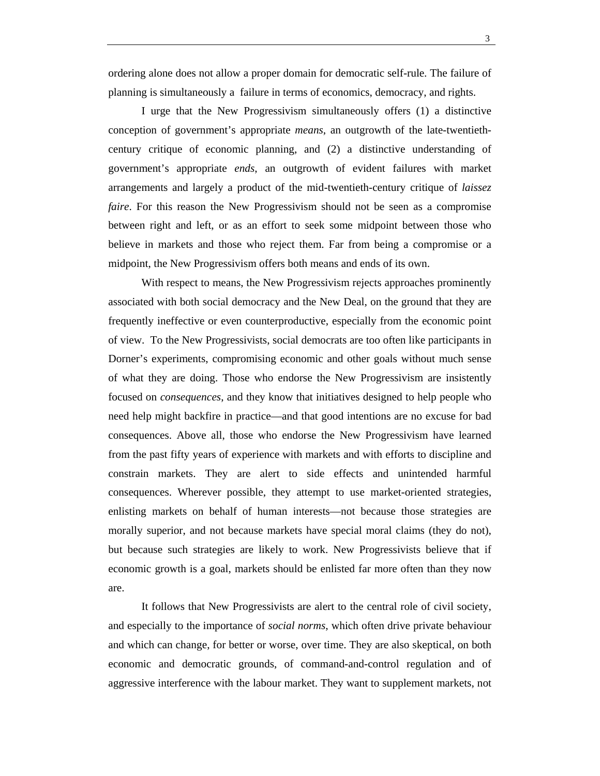ordering alone does not allow a proper domain for democratic self-rule. The failure of planning is simultaneously a failure in terms of economics, democracy, and rights.

I urge that the New Progressivism simultaneously offers (1) a distinctive conception of government's appropriate *means*, an outgrowth of the late-twentiethcentury critique of economic planning, and (2) a distinctive understanding of government's appropriate *ends*, an outgrowth of evident failures with market arrangements and largely a product of the mid-twentieth-century critique of *laissez faire*. For this reason the New Progressivism should not be seen as a compromise between right and left, or as an effort to seek some midpoint between those who believe in markets and those who reject them. Far from being a compromise or a midpoint, the New Progressivism offers both means and ends of its own.

With respect to means, the New Progressivism rejects approaches prominently associated with both social democracy and the New Deal, on the ground that they are frequently ineffective or even counterproductive, especially from the economic point of view. To the New Progressivists, social democrats are too often like participants in Dorner's experiments, compromising economic and other goals without much sense of what they are doing. Those who endorse the New Progressivism are insistently focused on *consequences*, and they know that initiatives designed to help people who need help might backfire in practice—and that good intentions are no excuse for bad consequences. Above all, those who endorse the New Progressivism have learned from the past fifty years of experience with markets and with efforts to discipline and constrain markets. They are alert to side effects and unintended harmful consequences. Wherever possible, they attempt to use market-oriented strategies, enlisting markets on behalf of human interests—not because those strategies are morally superior, and not because markets have special moral claims (they do not), but because such strategies are likely to work. New Progressivists believe that if economic growth is a goal, markets should be enlisted far more often than they now are.

It follows that New Progressivists are alert to the central role of civil society, and especially to the importance of *social norms*, which often drive private behaviour and which can change, for better or worse, over time. They are also skeptical, on both economic and democratic grounds, of command-and-control regulation and of aggressive interference with the labour market. They want to supplement markets, not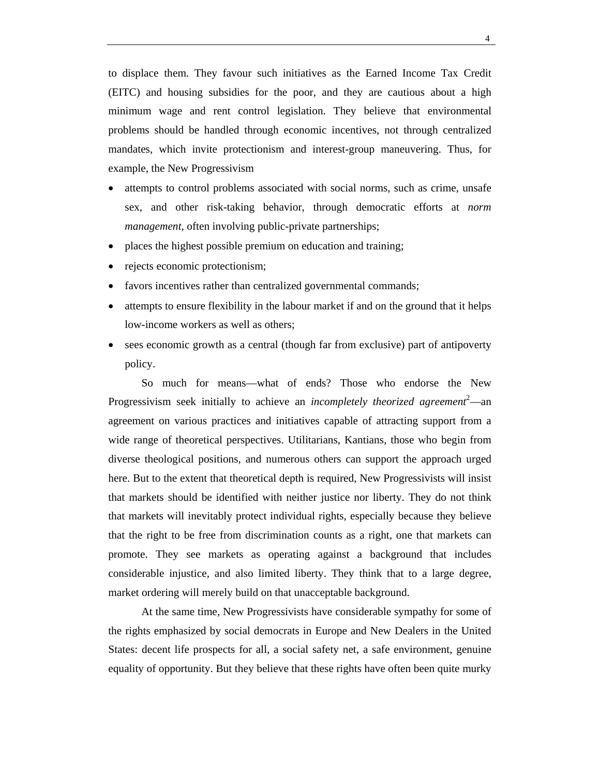to displace them. They favour such initiatives as the Earned Income Tax Credit (EITC) and housing subsidies for the poor, and they are cautious about a high minimum wage and rent control legislation. They believe that environmental problems should be handled through economic incentives, not through centralized mandates, which invite protectionism and interest-group maneuvering. Thus, for example, the New Progressivism

- attempts to control problems associated with social norms, such as crime, unsafe sex, and other risk-taking behavior, through democratic efforts at *norm management*, often involving public-private partnerships;
- places the highest possible premium on education and training;
- rejects economic protectionism;
- favors incentives rather than centralized governmental commands;
- attempts to ensure flexibility in the labour market if and on the ground that it helps low-income workers as well as others;
- sees economic growth as a central (though far from exclusive) part of antipoverty policy.

So much for means—what of ends? Those who endorse the New Progressivism seek initially to achieve an *incompletely theorized agreement*<sup>2</sup>—an agreement on various practices and initiatives capable of attracting support from a wide range of theoretical perspectives. Utilitarians, Kantians, those who begin from diverse theological positions, and numerous others can support the approach urged here. But to the extent that theoretical depth is required, New Progressivists will insist that markets should be identified with neither justice nor liberty. They do not think that markets will inevitably protect individual rights, especially because they believe that the right to be free from discrimination counts as a right, one that markets can promote. They see markets as operating against a background that includes considerable injustice, and also limited liberty. They think that to a large degree, market ordering will merely build on that unacceptable background.

At the same time, New Progressivists have considerable sympathy for some of the rights emphasized by social democrats in Europe and New Dealers in the United States: decent life prospects for all, a social safety net, a safe environment, genuine equality of opportunity. But they believe that these rights have often been quite murky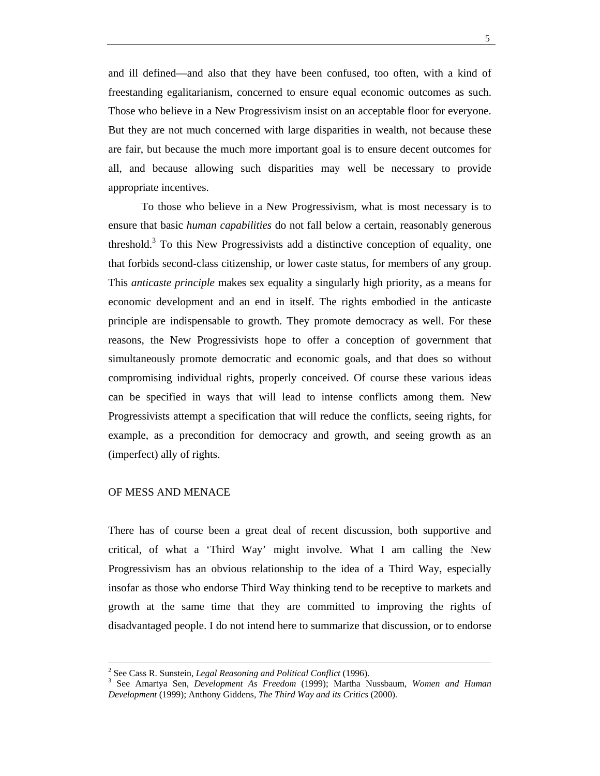and ill defined—and also that they have been confused, too often, with a kind of freestanding egalitarianism, concerned to ensure equal economic outcomes as such. Those who believe in a New Progressivism insist on an acceptable floor for everyone. But they are not much concerned with large disparities in wealth, not because these are fair, but because the much more important goal is to ensure decent outcomes for all, and because allowing such disparities may well be necessary to provide appropriate incentives.

To those who believe in a New Progressivism, what is most necessary is to ensure that basic *human capabilities* do not fall below a certain, reasonably generous threshold.<sup>3</sup> To this New Progressivists add a distinctive conception of equality, one that forbids second-class citizenship, or lower caste status, for members of any group. This *anticaste principle* makes sex equality a singularly high priority, as a means for economic development and an end in itself. The rights embodied in the anticaste principle are indispensable to growth. They promote democracy as well. For these reasons, the New Progressivists hope to offer a conception of government that simultaneously promote democratic and economic goals, and that does so without compromising individual rights, properly conceived. Of course these various ideas can be specified in ways that will lead to intense conflicts among them. New Progressivists attempt a specification that will reduce the conflicts, seeing rights, for example, as a precondition for democracy and growth, and seeing growth as an (imperfect) ally of rights.

## OF MESS AND MENACE

There has of course been a great deal of recent discussion, both supportive and critical, of what a 'Third Way' might involve. What I am calling the New Progressivism has an obvious relationship to the idea of a Third Way, especially insofar as those who endorse Third Way thinking tend to be receptive to markets and growth at the same time that they are committed to improving the rights of disadvantaged people. I do not intend here to summarize that discussion, or to endorse

 $\frac{1}{2}$ <sup>2</sup> See Cass R. Sunstein, *Legal Reasoning and Political Conflict* (1996).

See Amartya Sen, *Development As Freedom* (1999); Martha Nussbaum, *Women and Human Development* (1999); Anthony Giddens, *The Third Way and its Critics* (2000).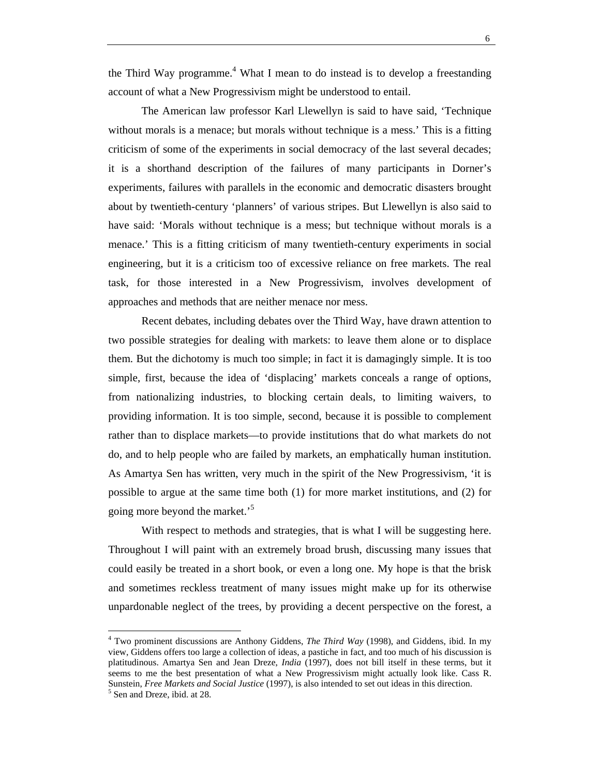the Third Way programme.<sup>4</sup> What I mean to do instead is to develop a freestanding account of what a New Progressivism might be understood to entail.

The American law professor Karl Llewellyn is said to have said, 'Technique without morals is a menace; but morals without technique is a mess.' This is a fitting criticism of some of the experiments in social democracy of the last several decades; it is a shorthand description of the failures of many participants in Dorner's experiments, failures with parallels in the economic and democratic disasters brought about by twentieth-century 'planners' of various stripes. But Llewellyn is also said to have said: 'Morals without technique is a mess; but technique without morals is a menace.' This is a fitting criticism of many twentieth-century experiments in social engineering, but it is a criticism too of excessive reliance on free markets. The real task, for those interested in a New Progressivism, involves development of approaches and methods that are neither menace nor mess.

Recent debates, including debates over the Third Way, have drawn attention to two possible strategies for dealing with markets: to leave them alone or to displace them. But the dichotomy is much too simple; in fact it is damagingly simple. It is too simple, first, because the idea of 'displacing' markets conceals a range of options, from nationalizing industries, to blocking certain deals, to limiting waivers, to providing information. It is too simple, second, because it is possible to complement rather than to displace markets—to provide institutions that do what markets do not do, and to help people who are failed by markets, an emphatically human institution. As Amartya Sen has written, very much in the spirit of the New Progressivism, 'it is possible to argue at the same time both (1) for more market institutions, and (2) for going more beyond the market.<sup>5</sup>

With respect to methods and strategies, that is what I will be suggesting here. Throughout I will paint with an extremely broad brush, discussing many issues that could easily be treated in a short book, or even a long one. My hope is that the brisk and sometimes reckless treatment of many issues might make up for its otherwise unpardonable neglect of the trees, by providing a decent perspective on the forest, a

<sup>4</sup> Two prominent discussions are Anthony Giddens, *The Third Way* (1998), and Giddens, ibid. In my view, Giddens offers too large a collection of ideas, a pastiche in fact, and too much of his discussion is platitudinous. Amartya Sen and Jean Dreze, *India* (1997), does not bill itself in these terms, but it seems to me the best presentation of what a New Progressivism might actually look like. Cass R. Sunstein, *Free Markets and Social Justice* (1997), is also intended to set out ideas in this direction. 5 <sup>5</sup> Sen and Dreze, ibid. at 28.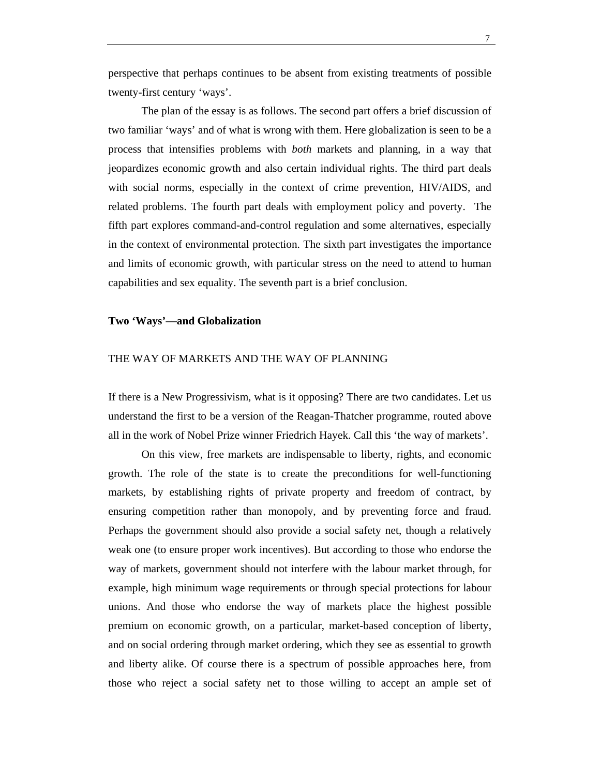perspective that perhaps continues to be absent from existing treatments of possible twenty-first century 'ways'.

The plan of the essay is as follows. The second part offers a brief discussion of two familiar 'ways' and of what is wrong with them. Here globalization is seen to be a process that intensifies problems with *both* markets and planning, in a way that jeopardizes economic growth and also certain individual rights. The third part deals with social norms, especially in the context of crime prevention, HIV/AIDS, and related problems. The fourth part deals with employment policy and poverty. The fifth part explores command-and-control regulation and some alternatives, especially in the context of environmental protection. The sixth part investigates the importance and limits of economic growth, with particular stress on the need to attend to human capabilities and sex equality. The seventh part is a brief conclusion.

### **Two 'Ways'—and Globalization**

#### THE WAY OF MARKETS AND THE WAY OF PLANNING

If there is a New Progressivism, what is it opposing? There are two candidates. Let us understand the first to be a version of the Reagan-Thatcher programme, routed above all in the work of Nobel Prize winner Friedrich Hayek. Call this 'the way of markets'.

On this view, free markets are indispensable to liberty, rights, and economic growth. The role of the state is to create the preconditions for well-functioning markets, by establishing rights of private property and freedom of contract, by ensuring competition rather than monopoly, and by preventing force and fraud. Perhaps the government should also provide a social safety net, though a relatively weak one (to ensure proper work incentives). But according to those who endorse the way of markets, government should not interfere with the labour market through, for example, high minimum wage requirements or through special protections for labour unions. And those who endorse the way of markets place the highest possible premium on economic growth, on a particular, market-based conception of liberty, and on social ordering through market ordering, which they see as essential to growth and liberty alike. Of course there is a spectrum of possible approaches here, from those who reject a social safety net to those willing to accept an ample set of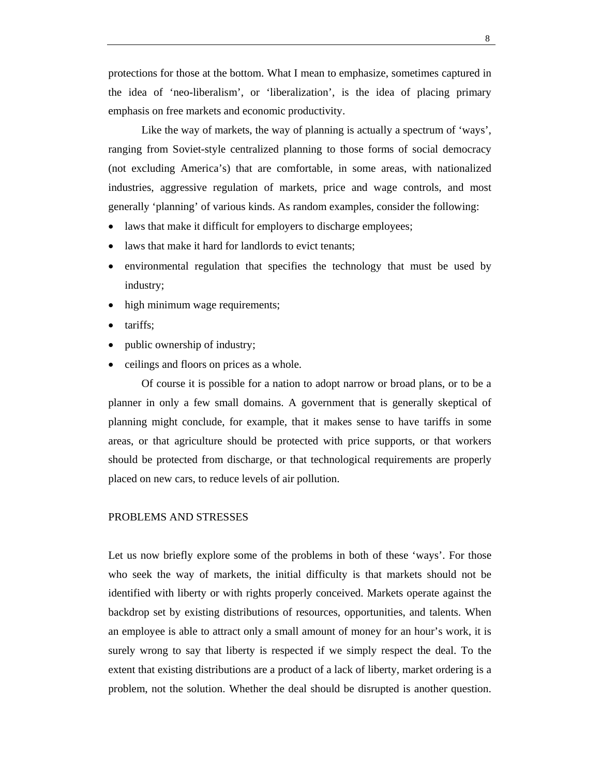protections for those at the bottom. What I mean to emphasize, sometimes captured in the idea of 'neo-liberalism', or 'liberalization', is the idea of placing primary emphasis on free markets and economic productivity.

Like the way of markets, the way of planning is actually a spectrum of 'ways', ranging from Soviet-style centralized planning to those forms of social democracy (not excluding America's) that are comfortable, in some areas, with nationalized industries, aggressive regulation of markets, price and wage controls, and most generally 'planning' of various kinds. As random examples, consider the following:

- laws that make it difficult for employers to discharge employees;
- laws that make it hard for landlords to evict tenants;
- environmental regulation that specifies the technology that must be used by industry;
- high minimum wage requirements;
- tariffs;
- public ownership of industry;
- ceilings and floors on prices as a whole.

Of course it is possible for a nation to adopt narrow or broad plans, or to be a planner in only a few small domains. A government that is generally skeptical of planning might conclude, for example, that it makes sense to have tariffs in some areas, or that agriculture should be protected with price supports, or that workers should be protected from discharge, or that technological requirements are properly placed on new cars, to reduce levels of air pollution.

### PROBLEMS AND STRESSES

Let us now briefly explore some of the problems in both of these 'ways'. For those who seek the way of markets, the initial difficulty is that markets should not be identified with liberty or with rights properly conceived. Markets operate against the backdrop set by existing distributions of resources, opportunities, and talents. When an employee is able to attract only a small amount of money for an hour's work, it is surely wrong to say that liberty is respected if we simply respect the deal. To the extent that existing distributions are a product of a lack of liberty, market ordering is a problem, not the solution. Whether the deal should be disrupted is another question.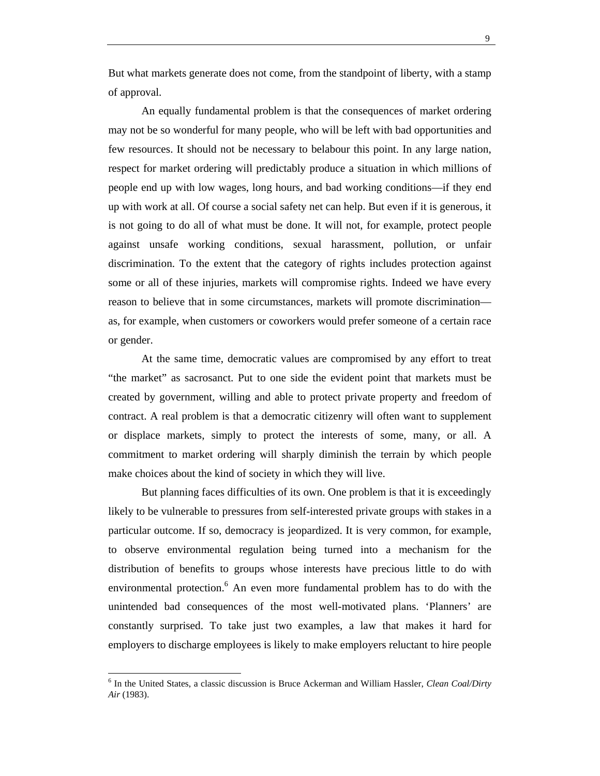But what markets generate does not come, from the standpoint of liberty, with a stamp of approval.

An equally fundamental problem is that the consequences of market ordering may not be so wonderful for many people, who will be left with bad opportunities and few resources. It should not be necessary to belabour this point. In any large nation, respect for market ordering will predictably produce a situation in which millions of people end up with low wages, long hours, and bad working conditions—if they end up with work at all. Of course a social safety net can help. But even if it is generous, it is not going to do all of what must be done. It will not, for example, protect people against unsafe working conditions, sexual harassment, pollution, or unfair discrimination. To the extent that the category of rights includes protection against some or all of these injuries, markets will compromise rights. Indeed we have every reason to believe that in some circumstances, markets will promote discrimination as, for example, when customers or coworkers would prefer someone of a certain race or gender.

At the same time, democratic values are compromised by any effort to treat "the market" as sacrosanct. Put to one side the evident point that markets must be created by government, willing and able to protect private property and freedom of contract. A real problem is that a democratic citizenry will often want to supplement or displace markets, simply to protect the interests of some, many, or all. A commitment to market ordering will sharply diminish the terrain by which people make choices about the kind of society in which they will live.

But planning faces difficulties of its own. One problem is that it is exceedingly likely to be vulnerable to pressures from self-interested private groups with stakes in a particular outcome. If so, democracy is jeopardized. It is very common, for example, to observe environmental regulation being turned into a mechanism for the distribution of benefits to groups whose interests have precious little to do with environmental protection.<sup>6</sup> An even more fundamental problem has to do with the unintended bad consequences of the most well-motivated plans. 'Planners' are constantly surprised. To take just two examples, a law that makes it hard for employers to discharge employees is likely to make employers reluctant to hire people

<sup>6</sup> In the United States, a classic discussion is Bruce Ackerman and William Hassler, *Clean Coal/Dirty Air* (1983).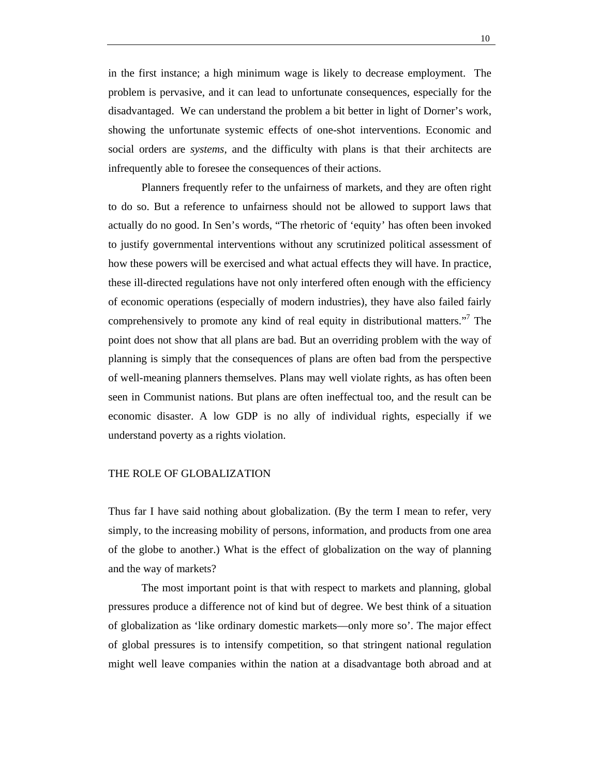in the first instance; a high minimum wage is likely to decrease employment. The problem is pervasive, and it can lead to unfortunate consequences, especially for the disadvantaged. We can understand the problem a bit better in light of Dorner's work, showing the unfortunate systemic effects of one-shot interventions. Economic and social orders are *systems*, and the difficulty with plans is that their architects are infrequently able to foresee the consequences of their actions.

Planners frequently refer to the unfairness of markets, and they are often right to do so. But a reference to unfairness should not be allowed to support laws that actually do no good. In Sen's words, "The rhetoric of 'equity' has often been invoked to justify governmental interventions without any scrutinized political assessment of how these powers will be exercised and what actual effects they will have. In practice, these ill-directed regulations have not only interfered often enough with the efficiency of economic operations (especially of modern industries), they have also failed fairly comprehensively to promote any kind of real equity in distributional matters."<sup>7</sup> The point does not show that all plans are bad. But an overriding problem with the way of planning is simply that the consequences of plans are often bad from the perspective of well-meaning planners themselves. Plans may well violate rights, as has often been seen in Communist nations. But plans are often ineffectual too, and the result can be economic disaster. A low GDP is no ally of individual rights, especially if we understand poverty as a rights violation.

## THE ROLE OF GLOBALIZATION

Thus far I have said nothing about globalization. (By the term I mean to refer, very simply, to the increasing mobility of persons, information, and products from one area of the globe to another.) What is the effect of globalization on the way of planning and the way of markets?

The most important point is that with respect to markets and planning, global pressures produce a difference not of kind but of degree. We best think of a situation of globalization as 'like ordinary domestic markets—only more so'. The major effect of global pressures is to intensify competition, so that stringent national regulation might well leave companies within the nation at a disadvantage both abroad and at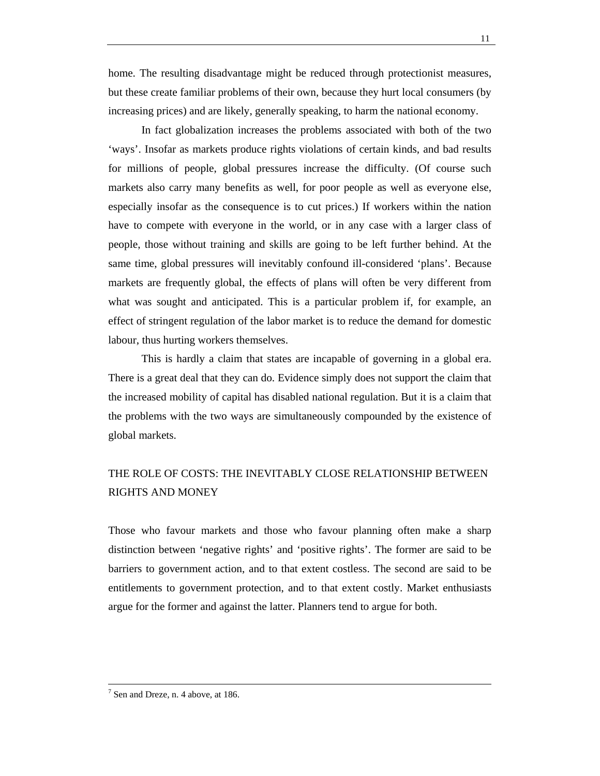home. The resulting disadvantage might be reduced through protectionist measures, but these create familiar problems of their own, because they hurt local consumers (by increasing prices) and are likely, generally speaking, to harm the national economy.

In fact globalization increases the problems associated with both of the two 'ways'. Insofar as markets produce rights violations of certain kinds, and bad results for millions of people, global pressures increase the difficulty. (Of course such markets also carry many benefits as well, for poor people as well as everyone else, especially insofar as the consequence is to cut prices.) If workers within the nation have to compete with everyone in the world, or in any case with a larger class of people, those without training and skills are going to be left further behind. At the same time, global pressures will inevitably confound ill-considered 'plans'. Because markets are frequently global, the effects of plans will often be very different from what was sought and anticipated. This is a particular problem if, for example, an effect of stringent regulation of the labor market is to reduce the demand for domestic labour, thus hurting workers themselves.

This is hardly a claim that states are incapable of governing in a global era. There is a great deal that they can do. Evidence simply does not support the claim that the increased mobility of capital has disabled national regulation. But it is a claim that the problems with the two ways are simultaneously compounded by the existence of global markets.

## THE ROLE OF COSTS: THE INEVITABLY CLOSE RELATIONSHIP BETWEEN RIGHTS AND MONEY

Those who favour markets and those who favour planning often make a sharp distinction between 'negative rights' and 'positive rights'. The former are said to be barriers to government action, and to that extent costless. The second are said to be entitlements to government protection, and to that extent costly. Market enthusiasts argue for the former and against the latter. Planners tend to argue for both.

<sup>-&</sup>lt;br>7  $<sup>7</sup>$  Sen and Dreze, n. 4 above, at 186.</sup>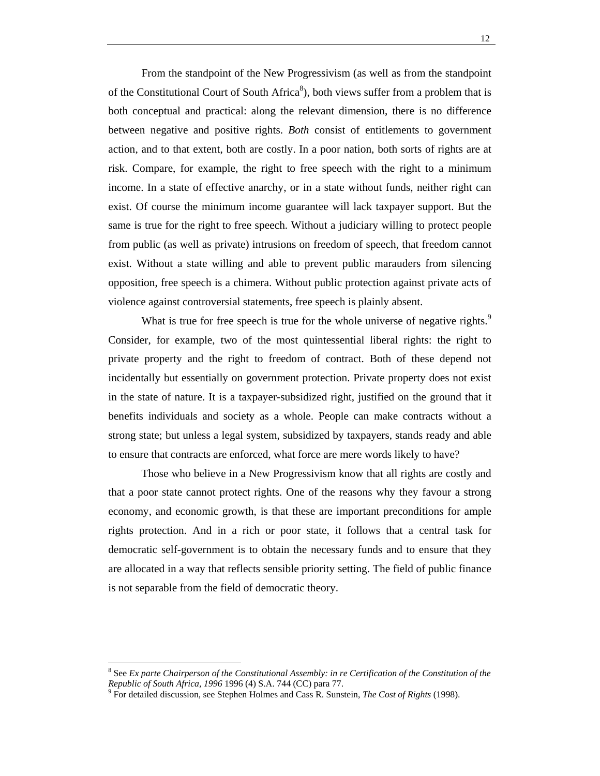From the standpoint of the New Progressivism (as well as from the standpoint of the Constitutional Court of South Africa $\delta$ ), both views suffer from a problem that is both conceptual and practical: along the relevant dimension, there is no difference between negative and positive rights. *Both* consist of entitlements to government action, and to that extent, both are costly. In a poor nation, both sorts of rights are at risk. Compare, for example, the right to free speech with the right to a minimum income. In a state of effective anarchy, or in a state without funds, neither right can exist. Of course the minimum income guarantee will lack taxpayer support. But the same is true for the right to free speech. Without a judiciary willing to protect people from public (as well as private) intrusions on freedom of speech, that freedom cannot exist. Without a state willing and able to prevent public marauders from silencing opposition, free speech is a chimera. Without public protection against private acts of violence against controversial statements, free speech is plainly absent.

What is true for free speech is true for the whole universe of negative rights.<sup>9</sup> Consider, for example, two of the most quintessential liberal rights: the right to private property and the right to freedom of contract. Both of these depend not incidentally but essentially on government protection. Private property does not exist in the state of nature. It is a taxpayer-subsidized right, justified on the ground that it benefits individuals and society as a whole. People can make contracts without a strong state; but unless a legal system, subsidized by taxpayers, stands ready and able to ensure that contracts are enforced, what force are mere words likely to have?

Those who believe in a New Progressivism know that all rights are costly and that a poor state cannot protect rights. One of the reasons why they favour a strong economy, and economic growth, is that these are important preconditions for ample rights protection. And in a rich or poor state, it follows that a central task for democratic self-government is to obtain the necessary funds and to ensure that they are allocated in a way that reflects sensible priority setting. The field of public finance is not separable from the field of democratic theory.

<sup>8</sup> See *Ex parte Chairperson of the Constitutional Assembly: in re Certification of the Constitution of the Republic of South Africa, 1996* 1996 (4) S.A. 744 (CC) para 77. <sup>9</sup>

For detailed discussion, see Stephen Holmes and Cass R. Sunstein, *The Cost of Rights* (1998).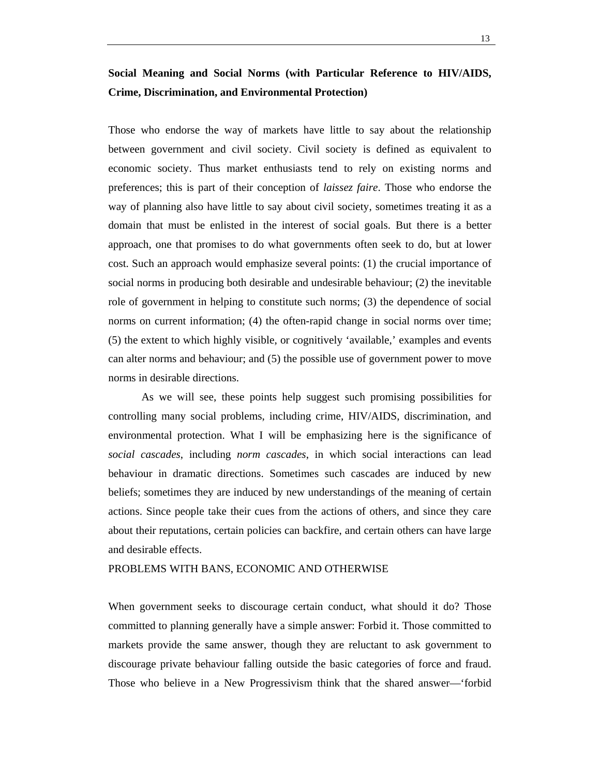## **Social Meaning and Social Norms (with Particular Reference to HIV/AIDS, Crime, Discrimination, and Environmental Protection)**

Those who endorse the way of markets have little to say about the relationship between government and civil society. Civil society is defined as equivalent to economic society. Thus market enthusiasts tend to rely on existing norms and preferences; this is part of their conception of *laissez faire*. Those who endorse the way of planning also have little to say about civil society, sometimes treating it as a domain that must be enlisted in the interest of social goals. But there is a better approach, one that promises to do what governments often seek to do, but at lower cost. Such an approach would emphasize several points: (1) the crucial importance of social norms in producing both desirable and undesirable behaviour; (2) the inevitable role of government in helping to constitute such norms; (3) the dependence of social norms on current information; (4) the often-rapid change in social norms over time; (5) the extent to which highly visible, or cognitively 'available,' examples and events can alter norms and behaviour; and (5) the possible use of government power to move norms in desirable directions.

As we will see, these points help suggest such promising possibilities for controlling many social problems, including crime, HIV/AIDS, discrimination, and environmental protection. What I will be emphasizing here is the significance of *social cascades*, including *norm cascades*, in which social interactions can lead behaviour in dramatic directions. Sometimes such cascades are induced by new beliefs; sometimes they are induced by new understandings of the meaning of certain actions. Since people take their cues from the actions of others, and since they care about their reputations, certain policies can backfire, and certain others can have large and desirable effects.

#### PROBLEMS WITH BANS, ECONOMIC AND OTHERWISE

When government seeks to discourage certain conduct, what should it do? Those committed to planning generally have a simple answer: Forbid it. Those committed to markets provide the same answer, though they are reluctant to ask government to discourage private behaviour falling outside the basic categories of force and fraud. Those who believe in a New Progressivism think that the shared answer—'forbid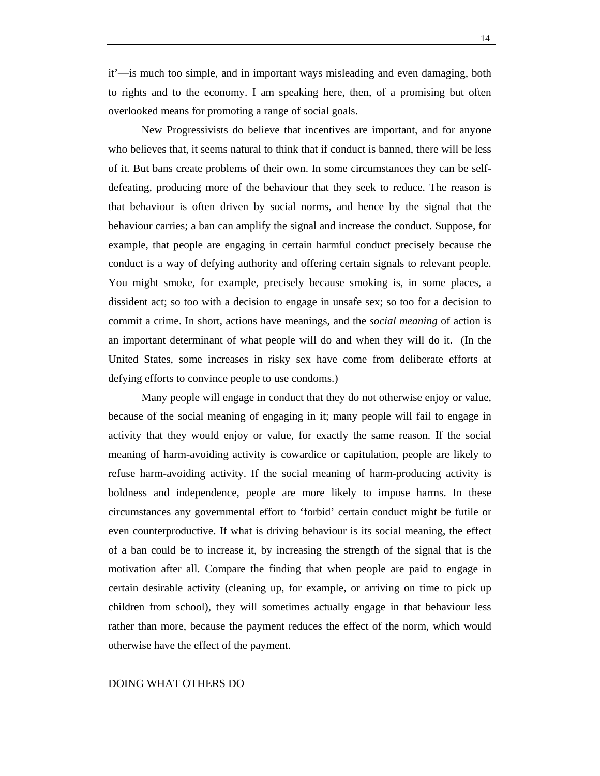14

it'—is much too simple, and in important ways misleading and even damaging, both to rights and to the economy. I am speaking here, then, of a promising but often overlooked means for promoting a range of social goals.

New Progressivists do believe that incentives are important, and for anyone who believes that, it seems natural to think that if conduct is banned, there will be less of it. But bans create problems of their own. In some circumstances they can be selfdefeating, producing more of the behaviour that they seek to reduce. The reason is that behaviour is often driven by social norms, and hence by the signal that the behaviour carries; a ban can amplify the signal and increase the conduct. Suppose, for example, that people are engaging in certain harmful conduct precisely because the conduct is a way of defying authority and offering certain signals to relevant people. You might smoke, for example, precisely because smoking is, in some places, a dissident act; so too with a decision to engage in unsafe sex; so too for a decision to commit a crime. In short, actions have meanings, and the *social meaning* of action is an important determinant of what people will do and when they will do it. (In the United States, some increases in risky sex have come from deliberate efforts at defying efforts to convince people to use condoms.)

Many people will engage in conduct that they do not otherwise enjoy or value, because of the social meaning of engaging in it; many people will fail to engage in activity that they would enjoy or value, for exactly the same reason. If the social meaning of harm-avoiding activity is cowardice or capitulation, people are likely to refuse harm-avoiding activity. If the social meaning of harm-producing activity is boldness and independence, people are more likely to impose harms. In these circumstances any governmental effort to 'forbid' certain conduct might be futile or even counterproductive. If what is driving behaviour is its social meaning, the effect of a ban could be to increase it, by increasing the strength of the signal that is the motivation after all. Compare the finding that when people are paid to engage in certain desirable activity (cleaning up, for example, or arriving on time to pick up children from school), they will sometimes actually engage in that behaviour less rather than more, because the payment reduces the effect of the norm, which would otherwise have the effect of the payment.

## DOING WHAT OTHERS DO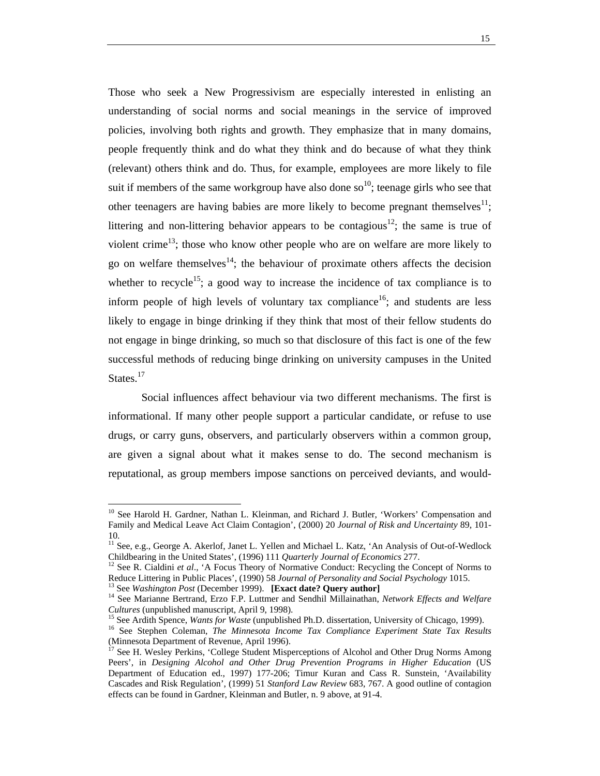Those who seek a New Progressivism are especially interested in enlisting an understanding of social norms and social meanings in the service of improved policies, involving both rights and growth. They emphasize that in many domains, people frequently think and do what they think and do because of what they think (relevant) others think and do. Thus, for example, employees are more likely to file suit if members of the same workgroup have also done so<sup>10</sup>; teenage girls who see that other teenagers are having babies are more likely to become pregnant themselves<sup>11</sup>; littering and non-littering behavior appears to be contagious<sup>12</sup>; the same is true of violent crime<sup>13</sup>; those who know other people who are on welfare are more likely to go on welfare themselves<sup>14</sup>; the behaviour of proximate others affects the decision whether to recycle<sup>15</sup>; a good way to increase the incidence of tax compliance is to inform people of high levels of voluntary tax compliance<sup>16</sup>; and students are less likely to engage in binge drinking if they think that most of their fellow students do not engage in binge drinking, so much so that disclosure of this fact is one of the few successful methods of reducing binge drinking on university campuses in the United States.<sup>17</sup>

Social influences affect behaviour via two different mechanisms. The first is informational. If many other people support a particular candidate, or refuse to use drugs, or carry guns, observers, and particularly observers within a common group, are given a signal about what it makes sense to do. The second mechanism is reputational, as group members impose sanctions on perceived deviants, and would-

<sup>&</sup>lt;sup>10</sup> See Harold H. Gardner, Nathan L. Kleinman, and Richard J. Butler, 'Workers' Compensation and Family and Medical Leave Act Claim Contagion', (2000) 20 *Journal of Risk and Uncertainty* 89, 101- 10.

<sup>&</sup>lt;sup>11</sup> See, e.g., George A. Akerlof, Janet L. Yellen and Michael L. Katz, 'An Analysis of Out-of-Wedlock Childbearing in the United States', (1996) 111 *Quarterly Journal of Economics* 277.<br><sup>12</sup> See R. Cialdini *et al.*, 'A Focus Theory of Normative Conduct: Recycling the Concept of Norms to

Reduce Littering in Public Places', (1990) 58 Journal of Personality and Social Psychology 1015.<br><sup>13</sup> See Washington Post (December 1999). [Exact date? Query author]<br><sup>14</sup> See Marianne Bertrand, Erzo F.P. Luttmer and Sendhi

Cultures (unpublished manuscript, April 9, 1998).<br><sup>15</sup> See Ardith Spence, *Wants for Waste* (unpublished Ph.D. dissertation, University of Chicago, 1999).<br><sup>16</sup> See Stephen Coleman, *The Minnesota Income Tax Compliance Expe* 

<sup>(</sup>Minnesota Department of Revenue, April 1996).

See H. Wesley Perkins, 'College Student Misperceptions of Alcohol and Other Drug Norms Among Peers', in *Designing Alcohol and Other Drug Prevention Programs in Higher Education* (US Department of Education ed., 1997) 177-206; Timur Kuran and Cass R. Sunstein, 'Availability Cascades and Risk Regulation', (1999) 51 *Stanford Law Review* 683, 767. A good outline of contagion effects can be found in Gardner, Kleinman and Butler, n. 9 above, at 91-4.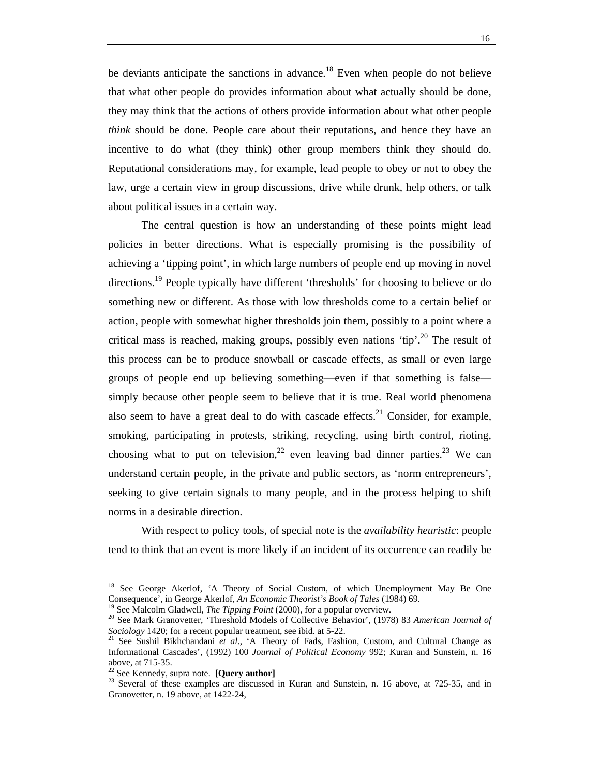be deviants anticipate the sanctions in advance.<sup>18</sup> Even when people do not believe that what other people do provides information about what actually should be done, they may think that the actions of others provide information about what other people *think* should be done. People care about their reputations, and hence they have an incentive to do what (they think) other group members think they should do. Reputational considerations may, for example, lead people to obey or not to obey the law, urge a certain view in group discussions, drive while drunk, help others, or talk about political issues in a certain way.

The central question is how an understanding of these points might lead policies in better directions. What is especially promising is the possibility of achieving a 'tipping point', in which large numbers of people end up moving in novel directions.<sup>19</sup> People typically have different 'thresholds' for choosing to believe or do something new or different. As those with low thresholds come to a certain belief or action, people with somewhat higher thresholds join them, possibly to a point where a critical mass is reached, making groups, possibly even nations 'tip'.<sup>20</sup> The result of this process can be to produce snowball or cascade effects, as small or even large groups of people end up believing something—even if that something is false simply because other people seem to believe that it is true. Real world phenomena also seem to have a great deal to do with cascade effects.<sup>21</sup> Consider, for example, smoking, participating in protests, striking, recycling, using birth control, rioting, choosing what to put on television,  $2^2$  even leaving bad dinner parties. <sup>23</sup> We can understand certain people, in the private and public sectors, as 'norm entrepreneurs', seeking to give certain signals to many people, and in the process helping to shift norms in a desirable direction.

With respect to policy tools, of special note is the *availability heuristic*: people tend to think that an event is more likely if an incident of its occurrence can readily be

<sup>&</sup>lt;sup>18</sup> See George Akerlof, 'A Theory of Social Custom, of which Unemployment May Be One Consequence<sup>7</sup>, in George Akerlof, An Economic Theorist's Book of Tales (1984) 69.<br><sup>19</sup> See Malcolm Gladwell, *The Tipping Point* (2000), for a popular overview.<br><sup>20</sup> See Mark Granovetter, 'Threshold Models of Collective

*Sociology* 1420; for a recent popular treatment, see ibid. at 5-22.<br><sup>21</sup> See Sushil Bikhchandani *et al.*, 'A Theory of Fads, Fashion, Custom, and Cultural Change as Informational Cascades', (1992) 100 *Journal of Political Economy* 992; Kuran and Sunstein, n. 16 above, at 715-35.<br> $^{22}$  See Kennedy, supra note. **[Query author]** 

<sup>&</sup>lt;sup>23</sup> Several of these examples are discussed in Kuran and Sunstein, n. 16 above, at 725-35, and in Granovetter, n. 19 above, at 1422-24,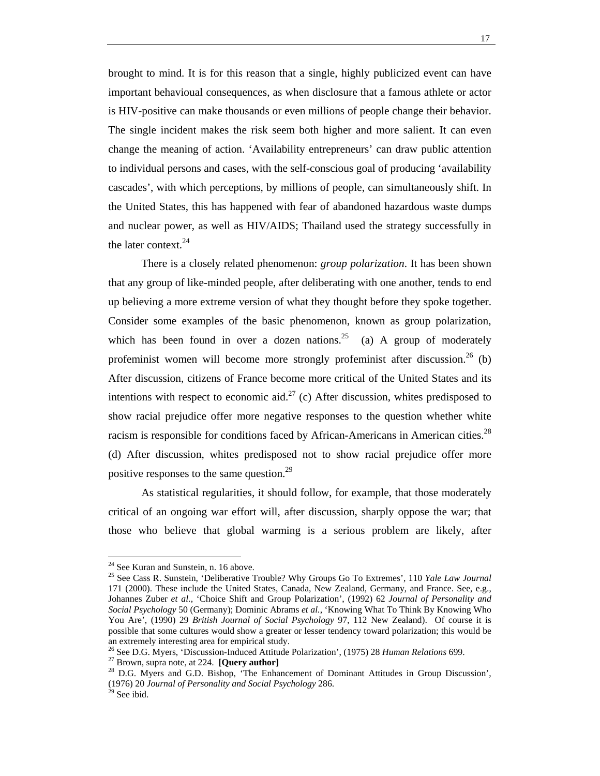brought to mind. It is for this reason that a single, highly publicized event can have important behavioual consequences, as when disclosure that a famous athlete or actor is HIV-positive can make thousands or even millions of people change their behavior. The single incident makes the risk seem both higher and more salient. It can even change the meaning of action. 'Availability entrepreneurs' can draw public attention to individual persons and cases, with the self-conscious goal of producing 'availability cascades', with which perceptions, by millions of people, can simultaneously shift. In the United States, this has happened with fear of abandoned hazardous waste dumps and nuclear power, as well as HIV/AIDS; Thailand used the strategy successfully in the later context.<sup>24</sup>

There is a closely related phenomenon: *group polarization*. It has been shown that any group of like-minded people, after deliberating with one another, tends to end up believing a more extreme version of what they thought before they spoke together. Consider some examples of the basic phenomenon, known as group polarization, which has been found in over a dozen nations.<sup>25</sup> (a) A group of moderately profeminist women will become more strongly profeminist after discussion.<sup>26</sup> (b) After discussion, citizens of France become more critical of the United States and its intentions with respect to economic aid.<sup>27</sup> (c) After discussion, whites predisposed to show racial prejudice offer more negative responses to the question whether white racism is responsible for conditions faced by African-Americans in American cities.<sup>28</sup> (d) After discussion, whites predisposed not to show racial prejudice offer more positive responses to the same question.<sup>29</sup>

As statistical regularities, it should follow, for example, that those moderately critical of an ongoing war effort will, after discussion, sharply oppose the war; that those who believe that global warming is a serious problem are likely, after

<sup>&</sup>lt;sup>24</sup> See Kuran and Sunstein, n. 16 above.

<sup>25</sup> See Cass R. Sunstein, 'Deliberative Trouble? Why Groups Go To Extremes', 110 *Yale Law Journal* 171 (2000). These include the United States, Canada, New Zealand, Germany, and France. See, e.g., Johannes Zuber *et al.*, 'Choice Shift and Group Polarization', (1992) 62 *Journal of Personality and Social Psychology* 50 (Germany); Dominic Abrams *et al.*, 'Knowing What To Think By Knowing Who You Are', (1990) 29 *British Journal of Social Psychology* 97, 112 New Zealand). Of course it is possible that some cultures would show a greater or lesser tendency toward polarization; this would be an extremely interesting area for empirical study.

<sup>&</sup>lt;sup>26</sup> See D.G. Myers, 'Discussion-Induced Attitude Polarization', (1975) 28 *Human Relations* 699.<br><sup>27</sup> Brown, supra note, at 224. **[Query author]**<br><sup>28</sup> D.G. Myers and G.D. Bishop, 'The Enhancement of Dominant Attitudes in (1976) 20 *Journal of Personality and Social Psychology* 286. 29 See ibid.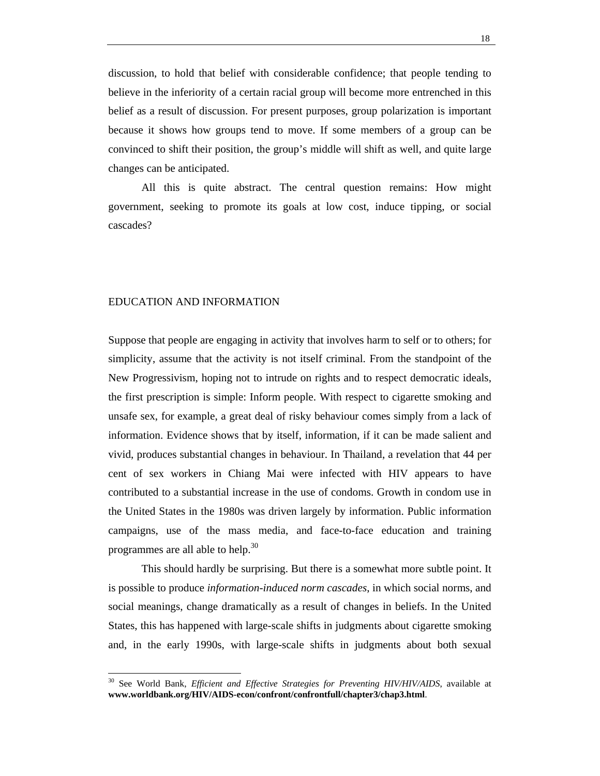discussion, to hold that belief with considerable confidence; that people tending to believe in the inferiority of a certain racial group will become more entrenched in this belief as a result of discussion. For present purposes, group polarization is important because it shows how groups tend to move. If some members of a group can be convinced to shift their position, the group's middle will shift as well, and quite large changes can be anticipated.

All this is quite abstract. The central question remains: How might government, seeking to promote its goals at low cost, induce tipping, or social cascades?

### EDUCATION AND INFORMATION

 $\overline{a}$ 

Suppose that people are engaging in activity that involves harm to self or to others; for simplicity, assume that the activity is not itself criminal. From the standpoint of the New Progressivism, hoping not to intrude on rights and to respect democratic ideals, the first prescription is simple: Inform people. With respect to cigarette smoking and unsafe sex, for example, a great deal of risky behaviour comes simply from a lack of information. Evidence shows that by itself, information, if it can be made salient and vivid, produces substantial changes in behaviour. In Thailand, a revelation that 44 per cent of sex workers in Chiang Mai were infected with HIV appears to have contributed to a substantial increase in the use of condoms. Growth in condom use in the United States in the 1980s was driven largely by information. Public information campaigns, use of the mass media, and face-to-face education and training programmes are all able to help.<sup>30</sup>

This should hardly be surprising. But there is a somewhat more subtle point. It is possible to produce *information-induced norm cascades*, in which social norms, and social meanings, change dramatically as a result of changes in beliefs. In the United States, this has happened with large-scale shifts in judgments about cigarette smoking and, in the early 1990s, with large-scale shifts in judgments about both sexual

<sup>30</sup> See World Bank, *Efficient and Effective Strategies for Preventing HIV/HIV/AIDS*, available at **www.worldbank.org/HIV/AIDS-econ/confront/confrontfull/chapter3/chap3.html**.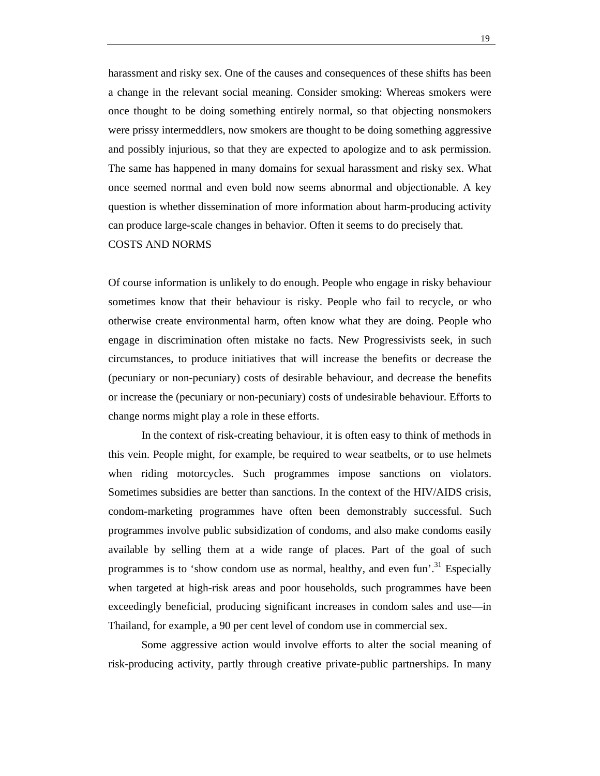harassment and risky sex. One of the causes and consequences of these shifts has been a change in the relevant social meaning. Consider smoking: Whereas smokers were once thought to be doing something entirely normal, so that objecting nonsmokers were prissy intermeddlers, now smokers are thought to be doing something aggressive and possibly injurious, so that they are expected to apologize and to ask permission. The same has happened in many domains for sexual harassment and risky sex. What once seemed normal and even bold now seems abnormal and objectionable. A key question is whether dissemination of more information about harm-producing activity can produce large-scale changes in behavior. Often it seems to do precisely that.

## COSTS AND NORMS

Of course information is unlikely to do enough. People who engage in risky behaviour sometimes know that their behaviour is risky. People who fail to recycle, or who otherwise create environmental harm, often know what they are doing. People who engage in discrimination often mistake no facts. New Progressivists seek, in such circumstances, to produce initiatives that will increase the benefits or decrease the (pecuniary or non-pecuniary) costs of desirable behaviour, and decrease the benefits or increase the (pecuniary or non-pecuniary) costs of undesirable behaviour. Efforts to change norms might play a role in these efforts.

In the context of risk-creating behaviour, it is often easy to think of methods in this vein. People might, for example, be required to wear seatbelts, or to use helmets when riding motorcycles. Such programmes impose sanctions on violators. Sometimes subsidies are better than sanctions. In the context of the HIV/AIDS crisis, condom-marketing programmes have often been demonstrably successful. Such programmes involve public subsidization of condoms, and also make condoms easily available by selling them at a wide range of places. Part of the goal of such programmes is to 'show condom use as normal, healthy, and even fun'.<sup>31</sup> Especially when targeted at high-risk areas and poor households, such programmes have been exceedingly beneficial, producing significant increases in condom sales and use—in Thailand, for example, a 90 per cent level of condom use in commercial sex.

Some aggressive action would involve efforts to alter the social meaning of risk-producing activity, partly through creative private-public partnerships. In many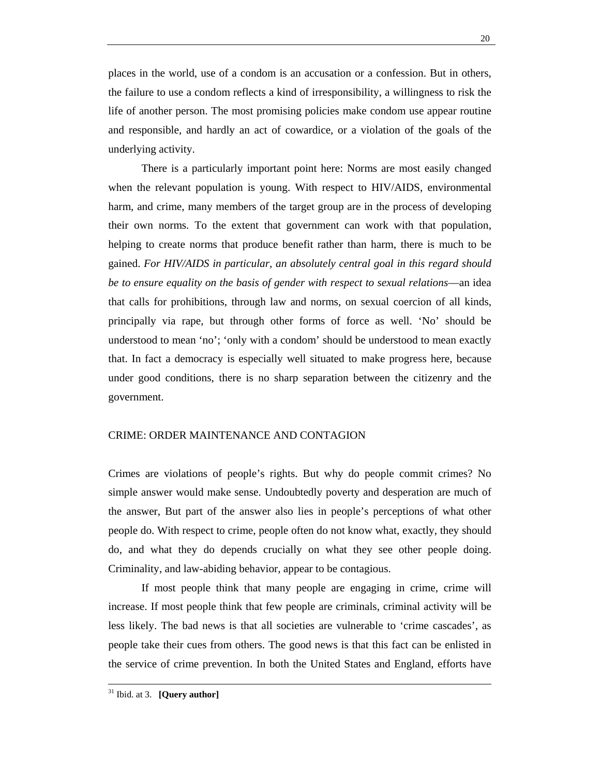places in the world, use of a condom is an accusation or a confession. But in others, the failure to use a condom reflects a kind of irresponsibility, a willingness to risk the life of another person. The most promising policies make condom use appear routine and responsible, and hardly an act of cowardice, or a violation of the goals of the underlying activity.

There is a particularly important point here: Norms are most easily changed when the relevant population is young. With respect to HIV/AIDS, environmental harm, and crime, many members of the target group are in the process of developing their own norms. To the extent that government can work with that population, helping to create norms that produce benefit rather than harm, there is much to be gained. *For HIV/AIDS in particular, an absolutely central goal in this regard should be to ensure equality on the basis of gender with respect to sexual relations*—an idea that calls for prohibitions, through law and norms, on sexual coercion of all kinds, principally via rape, but through other forms of force as well. 'No' should be understood to mean 'no'; 'only with a condom' should be understood to mean exactly that. In fact a democracy is especially well situated to make progress here, because under good conditions, there is no sharp separation between the citizenry and the government.

## CRIME: ORDER MAINTENANCE AND CONTAGION

Crimes are violations of people's rights. But why do people commit crimes? No simple answer would make sense. Undoubtedly poverty and desperation are much of the answer, But part of the answer also lies in people's perceptions of what other people do. With respect to crime, people often do not know what, exactly, they should do, and what they do depends crucially on what they see other people doing. Criminality, and law-abiding behavior, appear to be contagious.

If most people think that many people are engaging in crime, crime will increase. If most people think that few people are criminals, criminal activity will be less likely. The bad news is that all societies are vulnerable to 'crime cascades', as people take their cues from others. The good news is that this fact can be enlisted in the service of crime prevention. In both the United States and England, efforts have

31 Ibid. at 3. **[Query author]**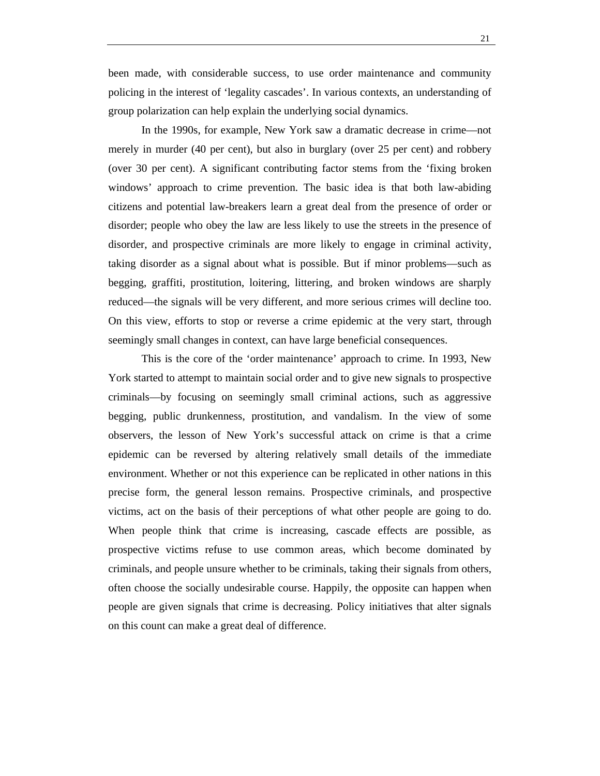In the 1990s, for example, New York saw a dramatic decrease in crime—not merely in murder (40 per cent), but also in burglary (over 25 per cent) and robbery (over 30 per cent). A significant contributing factor stems from the 'fixing broken windows' approach to crime prevention. The basic idea is that both law-abiding citizens and potential law-breakers learn a great deal from the presence of order or disorder; people who obey the law are less likely to use the streets in the presence of disorder, and prospective criminals are more likely to engage in criminal activity, taking disorder as a signal about what is possible. But if minor problems—such as begging, graffiti, prostitution, loitering, littering, and broken windows are sharply reduced—the signals will be very different, and more serious crimes will decline too. On this view, efforts to stop or reverse a crime epidemic at the very start, through seemingly small changes in context, can have large beneficial consequences.

This is the core of the 'order maintenance' approach to crime. In 1993, New York started to attempt to maintain social order and to give new signals to prospective criminals—by focusing on seemingly small criminal actions, such as aggressive begging, public drunkenness, prostitution, and vandalism. In the view of some observers, the lesson of New York's successful attack on crime is that a crime epidemic can be reversed by altering relatively small details of the immediate environment. Whether or not this experience can be replicated in other nations in this precise form, the general lesson remains. Prospective criminals, and prospective victims, act on the basis of their perceptions of what other people are going to do. When people think that crime is increasing, cascade effects are possible, as prospective victims refuse to use common areas, which become dominated by criminals, and people unsure whether to be criminals, taking their signals from others, often choose the socially undesirable course. Happily, the opposite can happen when people are given signals that crime is decreasing. Policy initiatives that alter signals on this count can make a great deal of difference.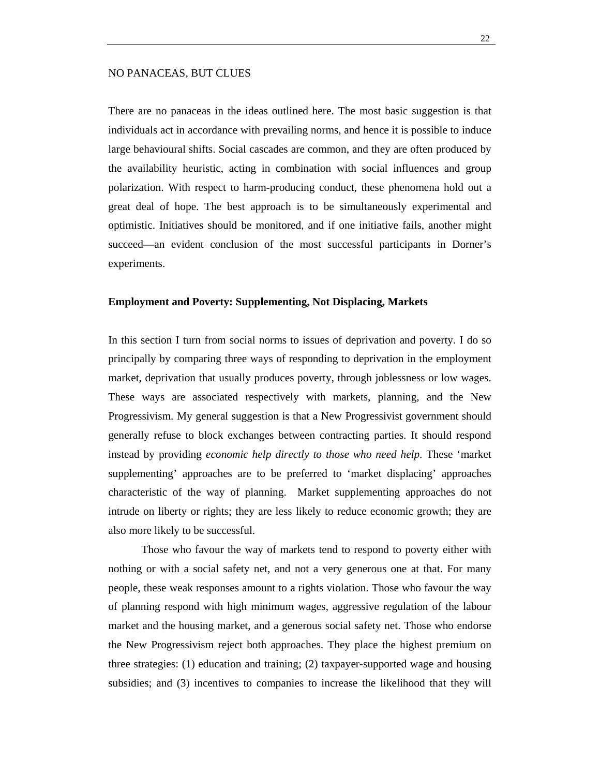#### NO PANACEAS, BUT CLUES

There are no panaceas in the ideas outlined here. The most basic suggestion is that individuals act in accordance with prevailing norms, and hence it is possible to induce large behavioural shifts. Social cascades are common, and they are often produced by the availability heuristic, acting in combination with social influences and group polarization. With respect to harm-producing conduct, these phenomena hold out a great deal of hope. The best approach is to be simultaneously experimental and optimistic. Initiatives should be monitored, and if one initiative fails, another might succeed—an evident conclusion of the most successful participants in Dorner's experiments.

#### **Employment and Poverty: Supplementing, Not Displacing, Markets**

In this section I turn from social norms to issues of deprivation and poverty. I do so principally by comparing three ways of responding to deprivation in the employment market, deprivation that usually produces poverty, through joblessness or low wages. These ways are associated respectively with markets, planning, and the New Progressivism. My general suggestion is that a New Progressivist government should generally refuse to block exchanges between contracting parties. It should respond instead by providing *economic help directly to those who need help*. These 'market supplementing' approaches are to be preferred to 'market displacing' approaches characteristic of the way of planning. Market supplementing approaches do not intrude on liberty or rights; they are less likely to reduce economic growth; they are also more likely to be successful.

Those who favour the way of markets tend to respond to poverty either with nothing or with a social safety net, and not a very generous one at that. For many people, these weak responses amount to a rights violation. Those who favour the way of planning respond with high minimum wages, aggressive regulation of the labour market and the housing market, and a generous social safety net. Those who endorse the New Progressivism reject both approaches. They place the highest premium on three strategies: (1) education and training; (2) taxpayer-supported wage and housing subsidies; and (3) incentives to companies to increase the likelihood that they will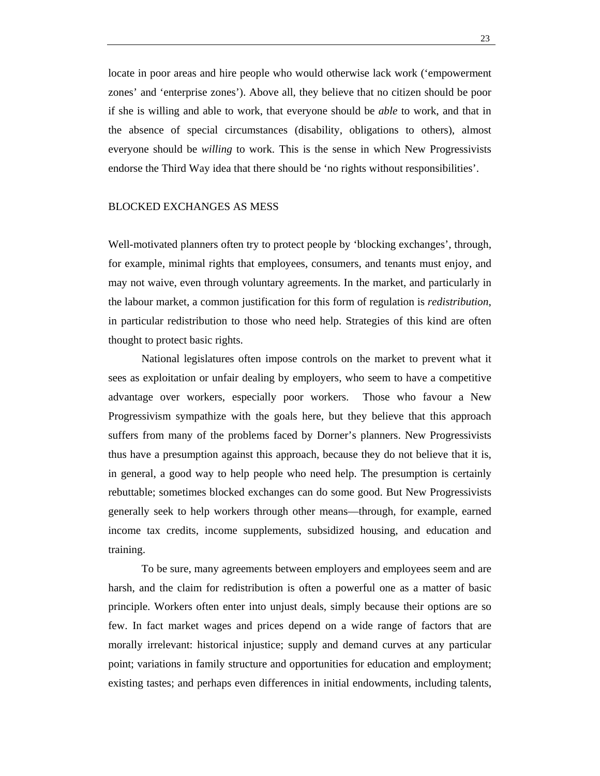locate in poor areas and hire people who would otherwise lack work ('empowerment zones' and 'enterprise zones'). Above all, they believe that no citizen should be poor if she is willing and able to work, that everyone should be *able* to work, and that in the absence of special circumstances (disability, obligations to others), almost everyone should be *willing* to work. This is the sense in which New Progressivists endorse the Third Way idea that there should be 'no rights without responsibilities'.

#### BLOCKED EXCHANGES AS MESS

Well-motivated planners often try to protect people by 'blocking exchanges', through, for example, minimal rights that employees, consumers, and tenants must enjoy, and may not waive, even through voluntary agreements. In the market, and particularly in the labour market, a common justification for this form of regulation is *redistribution*, in particular redistribution to those who need help. Strategies of this kind are often thought to protect basic rights.

National legislatures often impose controls on the market to prevent what it sees as exploitation or unfair dealing by employers, who seem to have a competitive advantage over workers, especially poor workers. Those who favour a New Progressivism sympathize with the goals here, but they believe that this approach suffers from many of the problems faced by Dorner's planners. New Progressivists thus have a presumption against this approach, because they do not believe that it is, in general, a good way to help people who need help. The presumption is certainly rebuttable; sometimes blocked exchanges can do some good. But New Progressivists generally seek to help workers through other means—through, for example, earned income tax credits, income supplements, subsidized housing, and education and training.

To be sure, many agreements between employers and employees seem and are harsh, and the claim for redistribution is often a powerful one as a matter of basic principle. Workers often enter into unjust deals, simply because their options are so few. In fact market wages and prices depend on a wide range of factors that are morally irrelevant: historical injustice; supply and demand curves at any particular point; variations in family structure and opportunities for education and employment; existing tastes; and perhaps even differences in initial endowments, including talents,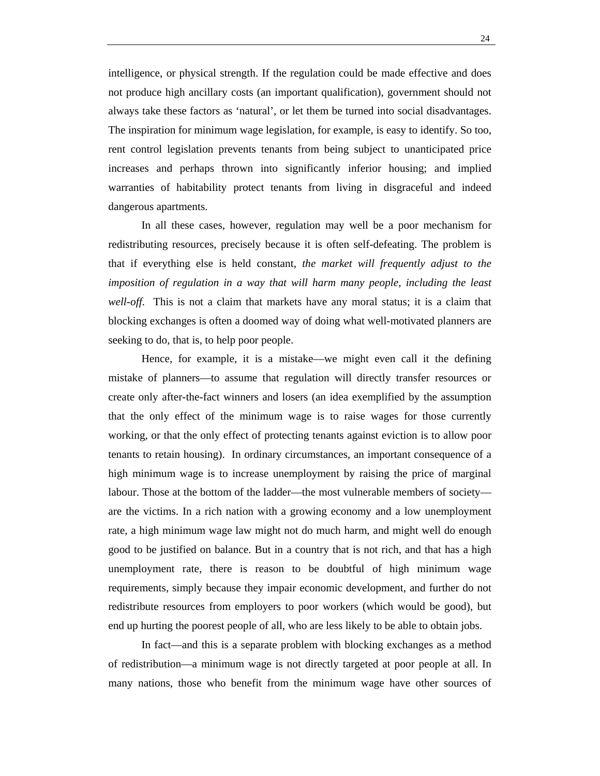intelligence, or physical strength. If the regulation could be made effective and does not produce high ancillary costs (an important qualification), government should not always take these factors as 'natural', or let them be turned into social disadvantages. The inspiration for minimum wage legislation, for example, is easy to identify. So too, rent control legislation prevents tenants from being subject to unanticipated price increases and perhaps thrown into significantly inferior housing; and implied warranties of habitability protect tenants from living in disgraceful and indeed dangerous apartments.

In all these cases, however, regulation may well be a poor mechanism for redistributing resources, precisely because it is often self-defeating. The problem is that if everything else is held constant, *the market will frequently adjust to the imposition of regulation in a way that will harm many people, including the least well-off*. This is not a claim that markets have any moral status; it is a claim that blocking exchanges is often a doomed way of doing what well-motivated planners are seeking to do, that is, to help poor people.

Hence, for example, it is a mistake—we might even call it the defining mistake of planners—to assume that regulation will directly transfer resources or create only after-the-fact winners and losers (an idea exemplified by the assumption that the only effect of the minimum wage is to raise wages for those currently working, or that the only effect of protecting tenants against eviction is to allow poor tenants to retain housing). In ordinary circumstances, an important consequence of a high minimum wage is to increase unemployment by raising the price of marginal labour. Those at the bottom of the ladder—the most vulnerable members of society are the victims. In a rich nation with a growing economy and a low unemployment rate, a high minimum wage law might not do much harm, and might well do enough good to be justified on balance. But in a country that is not rich, and that has a high unemployment rate, there is reason to be doubtful of high minimum wage requirements, simply because they impair economic development, and further do not redistribute resources from employers to poor workers (which would be good), but end up hurting the poorest people of all, who are less likely to be able to obtain jobs.

In fact—and this is a separate problem with blocking exchanges as a method of redistribution—a minimum wage is not directly targeted at poor people at all. In many nations, those who benefit from the minimum wage have other sources of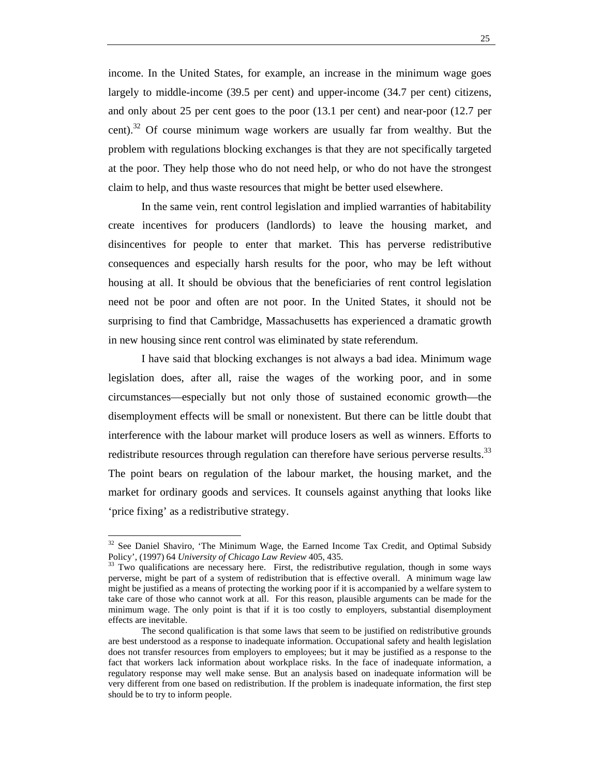income. In the United States, for example, an increase in the minimum wage goes largely to middle-income (39.5 per cent) and upper-income (34.7 per cent) citizens, and only about 25 per cent goes to the poor (13.1 per cent) and near-poor (12.7 per cent).<sup>32</sup> Of course minimum wage workers are usually far from wealthy. But the problem with regulations blocking exchanges is that they are not specifically targeted at the poor. They help those who do not need help, or who do not have the strongest claim to help, and thus waste resources that might be better used elsewhere.

In the same vein, rent control legislation and implied warranties of habitability create incentives for producers (landlords) to leave the housing market, and disincentives for people to enter that market. This has perverse redistributive consequences and especially harsh results for the poor, who may be left without housing at all. It should be obvious that the beneficiaries of rent control legislation need not be poor and often are not poor. In the United States, it should not be surprising to find that Cambridge, Massachusetts has experienced a dramatic growth in new housing since rent control was eliminated by state referendum.

I have said that blocking exchanges is not always a bad idea. Minimum wage legislation does, after all, raise the wages of the working poor, and in some circumstances—especially but not only those of sustained economic growth—the disemployment effects will be small or nonexistent. But there can be little doubt that interference with the labour market will produce losers as well as winners. Efforts to redistribute resources through regulation can therefore have serious perverse results. $33$ The point bears on regulation of the labour market, the housing market, and the market for ordinary goods and services. It counsels against anything that looks like 'price fixing' as a redistributive strategy.

 $32$  See Daniel Shaviro, 'The Minimum Wage, the Earned Income Tax Credit, and Optimal Subsidy Policy', (1997) 64 *University of Chicago Law Review* 405, 435.<br><sup>33</sup> Two qualifications are necessary here. First, the redistributive regulation, though in some ways

perverse, might be part of a system of redistribution that is effective overall. A minimum wage law might be justified as a means of protecting the working poor if it is accompanied by a welfare system to take care of those who cannot work at all. For this reason, plausible arguments can be made for the minimum wage. The only point is that if it is too costly to employers, substantial disemployment effects are inevitable.

The second qualification is that some laws that seem to be justified on redistributive grounds are best understood as a response to inadequate information. Occupational safety and health legislation does not transfer resources from employers to employees; but it may be justified as a response to the fact that workers lack information about workplace risks. In the face of inadequate information, a regulatory response may well make sense. But an analysis based on inadequate information will be very different from one based on redistribution. If the problem is inadequate information, the first step should be to try to inform people.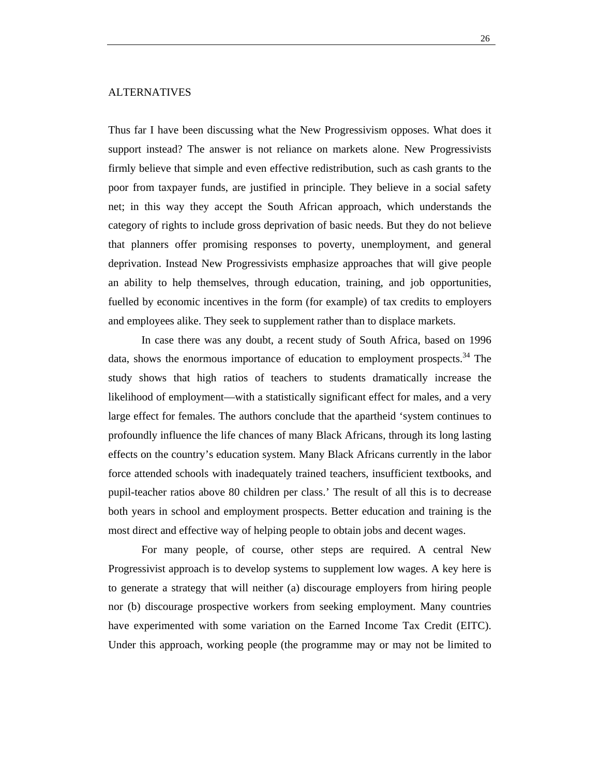## ALTERNATIVES

Thus far I have been discussing what the New Progressivism opposes. What does it support instead? The answer is not reliance on markets alone. New Progressivists firmly believe that simple and even effective redistribution, such as cash grants to the poor from taxpayer funds, are justified in principle. They believe in a social safety net; in this way they accept the South African approach, which understands the category of rights to include gross deprivation of basic needs. But they do not believe that planners offer promising responses to poverty, unemployment, and general deprivation. Instead New Progressivists emphasize approaches that will give people an ability to help themselves, through education, training, and job opportunities, fuelled by economic incentives in the form (for example) of tax credits to employers and employees alike. They seek to supplement rather than to displace markets.

In case there was any doubt, a recent study of South Africa, based on 1996 data, shows the enormous importance of education to employment prospects.<sup>34</sup> The study shows that high ratios of teachers to students dramatically increase the likelihood of employment—with a statistically significant effect for males, and a very large effect for females. The authors conclude that the apartheid 'system continues to profoundly influence the life chances of many Black Africans, through its long lasting effects on the country's education system. Many Black Africans currently in the labor force attended schools with inadequately trained teachers, insufficient textbooks, and pupil-teacher ratios above 80 children per class.' The result of all this is to decrease both years in school and employment prospects. Better education and training is the most direct and effective way of helping people to obtain jobs and decent wages.

For many people, of course, other steps are required. A central New Progressivist approach is to develop systems to supplement low wages. A key here is to generate a strategy that will neither (a) discourage employers from hiring people nor (b) discourage prospective workers from seeking employment. Many countries have experimented with some variation on the Earned Income Tax Credit (EITC). Under this approach, working people (the programme may or may not be limited to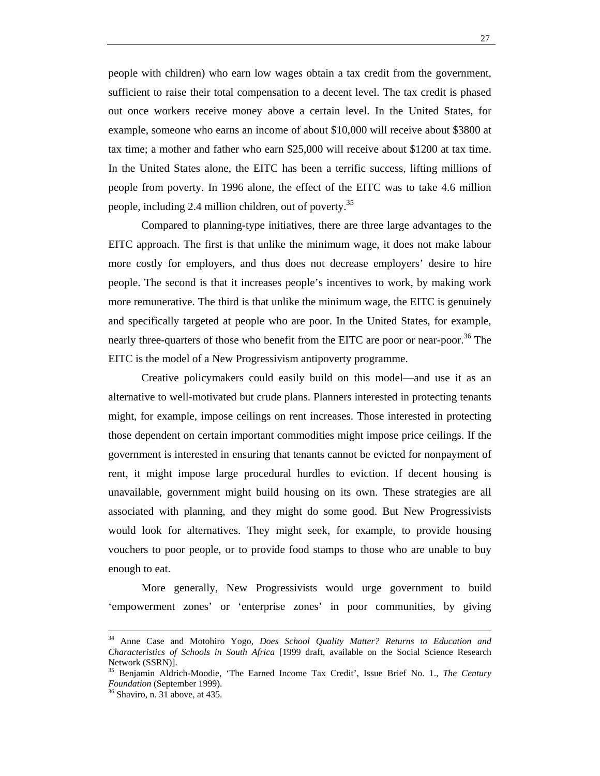people with children) who earn low wages obtain a tax credit from the government, sufficient to raise their total compensation to a decent level. The tax credit is phased out once workers receive money above a certain level. In the United States, for example, someone who earns an income of about \$10,000 will receive about \$3800 at tax time; a mother and father who earn \$25,000 will receive about \$1200 at tax time. In the United States alone, the EITC has been a terrific success, lifting millions of people from poverty. In 1996 alone, the effect of the EITC was to take 4.6 million people, including 2.4 million children, out of poverty.<sup>35</sup>

Compared to planning-type initiatives, there are three large advantages to the EITC approach. The first is that unlike the minimum wage, it does not make labour more costly for employers, and thus does not decrease employers' desire to hire people. The second is that it increases people's incentives to work, by making work more remunerative. The third is that unlike the minimum wage, the EITC is genuinely and specifically targeted at people who are poor. In the United States, for example, nearly three-quarters of those who benefit from the EITC are poor or near-poor.<sup>36</sup> The EITC is the model of a New Progressivism antipoverty programme.

Creative policymakers could easily build on this model—and use it as an alternative to well-motivated but crude plans. Planners interested in protecting tenants might, for example, impose ceilings on rent increases. Those interested in protecting those dependent on certain important commodities might impose price ceilings. If the government is interested in ensuring that tenants cannot be evicted for nonpayment of rent, it might impose large procedural hurdles to eviction. If decent housing is unavailable, government might build housing on its own. These strategies are all associated with planning, and they might do some good. But New Progressivists would look for alternatives. They might seek, for example, to provide housing vouchers to poor people, or to provide food stamps to those who are unable to buy enough to eat.

More generally, New Progressivists would urge government to build 'empowerment zones' or 'enterprise zones' in poor communities, by giving

34 Anne Case and Motohiro Yogo, *Does School Quality Matter? Returns to Education and Characteristics of Schools in South Africa* [1999 draft, available on the Social Science Research Network (SSRN)].

<sup>35</sup> Benjamin Aldrich-Moodie, 'The Earned Income Tax Credit', Issue Brief No. 1., *The Century Foundation* (September 1999). 36 Shaviro, n. 31 above, at 435.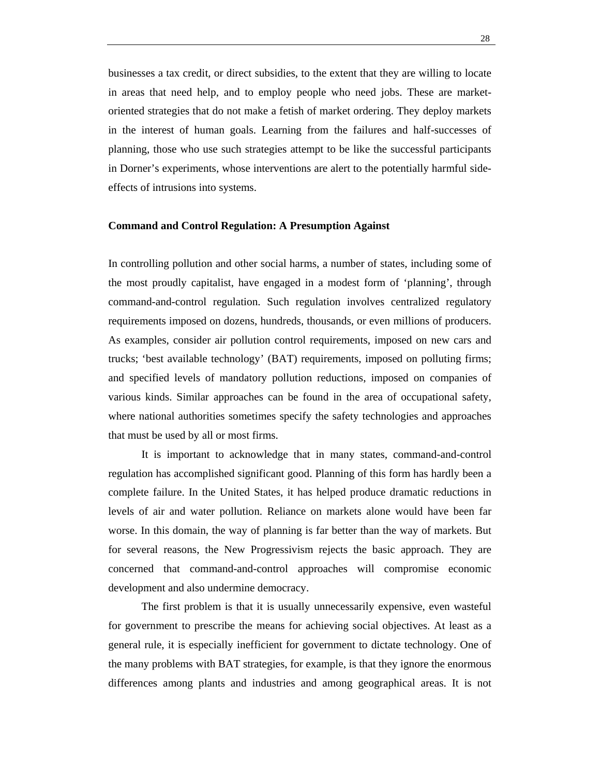businesses a tax credit, or direct subsidies, to the extent that they are willing to locate in areas that need help, and to employ people who need jobs. These are marketoriented strategies that do not make a fetish of market ordering. They deploy markets in the interest of human goals. Learning from the failures and half-successes of planning, those who use such strategies attempt to be like the successful participants in Dorner's experiments, whose interventions are alert to the potentially harmful sideeffects of intrusions into systems.

## **Command and Control Regulation: A Presumption Against**

In controlling pollution and other social harms, a number of states, including some of the most proudly capitalist, have engaged in a modest form of 'planning', through command-and-control regulation. Such regulation involves centralized regulatory requirements imposed on dozens, hundreds, thousands, or even millions of producers. As examples, consider air pollution control requirements, imposed on new cars and trucks; 'best available technology' (BAT) requirements, imposed on polluting firms; and specified levels of mandatory pollution reductions, imposed on companies of various kinds. Similar approaches can be found in the area of occupational safety, where national authorities sometimes specify the safety technologies and approaches that must be used by all or most firms.

It is important to acknowledge that in many states, command-and-control regulation has accomplished significant good. Planning of this form has hardly been a complete failure. In the United States, it has helped produce dramatic reductions in levels of air and water pollution. Reliance on markets alone would have been far worse. In this domain, the way of planning is far better than the way of markets. But for several reasons, the New Progressivism rejects the basic approach. They are concerned that command-and-control approaches will compromise economic development and also undermine democracy.

The first problem is that it is usually unnecessarily expensive, even wasteful for government to prescribe the means for achieving social objectives. At least as a general rule, it is especially inefficient for government to dictate technology. One of the many problems with BAT strategies, for example, is that they ignore the enormous differences among plants and industries and among geographical areas. It is not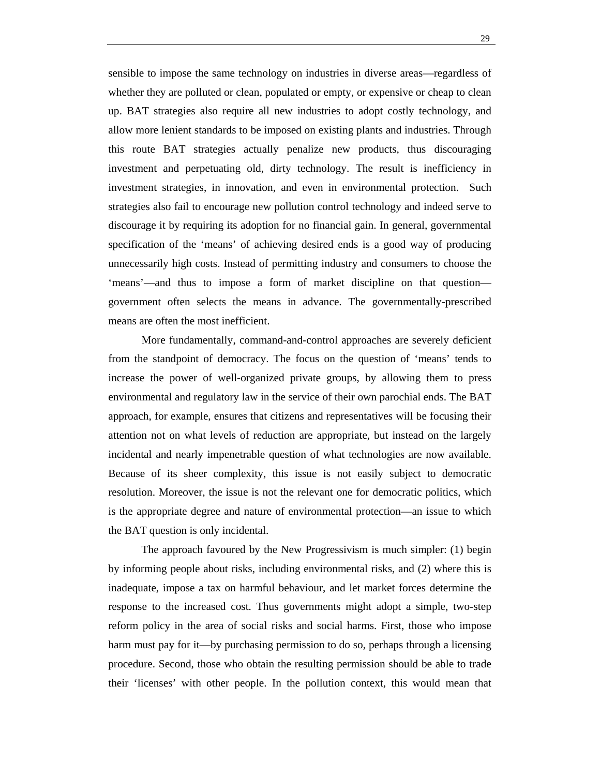sensible to impose the same technology on industries in diverse areas—regardless of whether they are polluted or clean, populated or empty, or expensive or cheap to clean up. BAT strategies also require all new industries to adopt costly technology, and allow more lenient standards to be imposed on existing plants and industries. Through this route BAT strategies actually penalize new products, thus discouraging investment and perpetuating old, dirty technology. The result is inefficiency in investment strategies, in innovation, and even in environmental protection. Such strategies also fail to encourage new pollution control technology and indeed serve to discourage it by requiring its adoption for no financial gain. In general, governmental specification of the 'means' of achieving desired ends is a good way of producing unnecessarily high costs. Instead of permitting industry and consumers to choose the 'means'—and thus to impose a form of market discipline on that question government often selects the means in advance. The governmentally-prescribed means are often the most inefficient.

More fundamentally, command-and-control approaches are severely deficient from the standpoint of democracy. The focus on the question of 'means' tends to increase the power of well-organized private groups, by allowing them to press environmental and regulatory law in the service of their own parochial ends. The BAT approach, for example, ensures that citizens and representatives will be focusing their attention not on what levels of reduction are appropriate, but instead on the largely incidental and nearly impenetrable question of what technologies are now available. Because of its sheer complexity, this issue is not easily subject to democratic resolution. Moreover, the issue is not the relevant one for democratic politics, which is the appropriate degree and nature of environmental protection—an issue to which the BAT question is only incidental.

The approach favoured by the New Progressivism is much simpler: (1) begin by informing people about risks, including environmental risks, and (2) where this is inadequate, impose a tax on harmful behaviour, and let market forces determine the response to the increased cost. Thus governments might adopt a simple, two-step reform policy in the area of social risks and social harms. First, those who impose harm must pay for it—by purchasing permission to do so, perhaps through a licensing procedure. Second, those who obtain the resulting permission should be able to trade their 'licenses' with other people. In the pollution context, this would mean that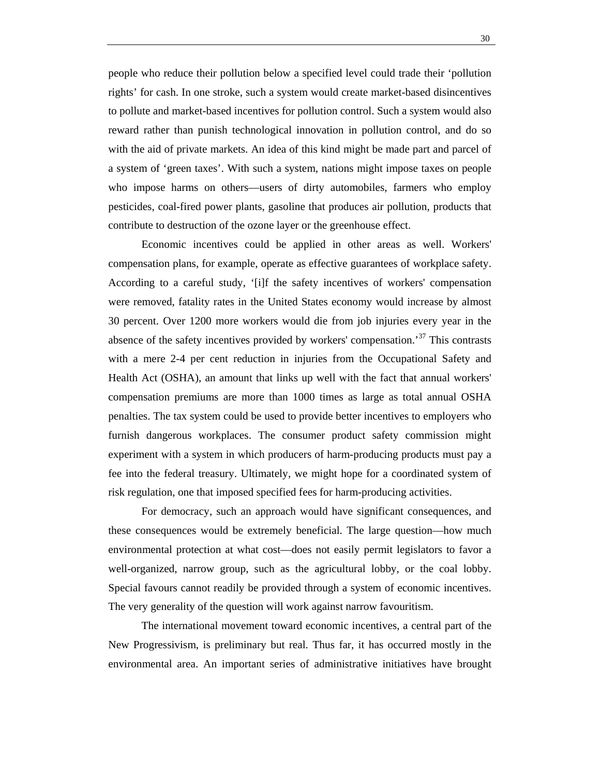people who reduce their pollution below a specified level could trade their 'pollution rights' for cash. In one stroke, such a system would create market-based disincentives to pollute and market-based incentives for pollution control. Such a system would also reward rather than punish technological innovation in pollution control, and do so with the aid of private markets. An idea of this kind might be made part and parcel of a system of 'green taxes'. With such a system, nations might impose taxes on people who impose harms on others—users of dirty automobiles, farmers who employ pesticides, coal-fired power plants, gasoline that produces air pollution, products that contribute to destruction of the ozone layer or the greenhouse effect.

Economic incentives could be applied in other areas as well. Workers' compensation plans, for example, operate as effective guarantees of workplace safety. According to a careful study, '[i]f the safety incentives of workers' compensation were removed, fatality rates in the United States economy would increase by almost 30 percent. Over 1200 more workers would die from job injuries every year in the absence of the safety incentives provided by workers' compensation.<sup>37</sup> This contrasts with a mere 2-4 per cent reduction in injuries from the Occupational Safety and Health Act (OSHA), an amount that links up well with the fact that annual workers' compensation premiums are more than 1000 times as large as total annual OSHA penalties. The tax system could be used to provide better incentives to employers who furnish dangerous workplaces. The consumer product safety commission might experiment with a system in which producers of harm-producing products must pay a fee into the federal treasury. Ultimately, we might hope for a coordinated system of risk regulation, one that imposed specified fees for harm-producing activities.

For democracy, such an approach would have significant consequences, and these consequences would be extremely beneficial. The large question—how much environmental protection at what cost—does not easily permit legislators to favor a well-organized, narrow group, such as the agricultural lobby, or the coal lobby. Special favours cannot readily be provided through a system of economic incentives. The very generality of the question will work against narrow favouritism.

The international movement toward economic incentives, a central part of the New Progressivism, is preliminary but real. Thus far, it has occurred mostly in the environmental area. An important series of administrative initiatives have brought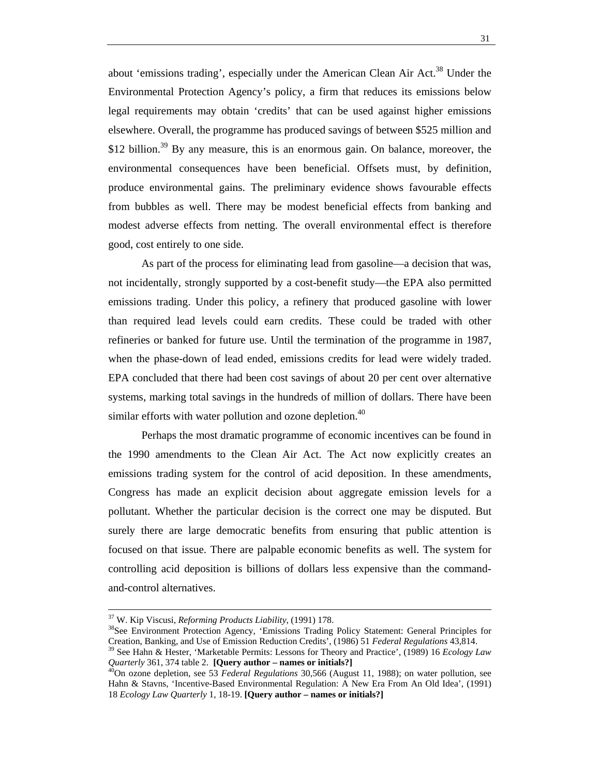about 'emissions trading', especially under the American Clean Air Act.<sup>38</sup> Under the Environmental Protection Agency's policy, a firm that reduces its emissions below legal requirements may obtain 'credits' that can be used against higher emissions elsewhere. Overall, the programme has produced savings of between \$525 million and \$12 billion.<sup>39</sup> By any measure, this is an enormous gain. On balance, moreover, the environmental consequences have been beneficial. Offsets must, by definition, produce environmental gains. The preliminary evidence shows favourable effects from bubbles as well. There may be modest beneficial effects from banking and modest adverse effects from netting. The overall environmental effect is therefore good, cost entirely to one side.

As part of the process for eliminating lead from gasoline—a decision that was, not incidentally, strongly supported by a cost-benefit study—the EPA also permitted emissions trading. Under this policy, a refinery that produced gasoline with lower than required lead levels could earn credits. These could be traded with other refineries or banked for future use. Until the termination of the programme in 1987, when the phase-down of lead ended, emissions credits for lead were widely traded. EPA concluded that there had been cost savings of about 20 per cent over alternative systems, marking total savings in the hundreds of million of dollars. There have been similar efforts with water pollution and ozone depletion.<sup>40</sup>

Perhaps the most dramatic programme of economic incentives can be found in the 1990 amendments to the Clean Air Act. The Act now explicitly creates an emissions trading system for the control of acid deposition. In these amendments, Congress has made an explicit decision about aggregate emission levels for a pollutant. Whether the particular decision is the correct one may be disputed. But surely there are large democratic benefits from ensuring that public attention is focused on that issue. There are palpable economic benefits as well. The system for controlling acid deposition is billions of dollars less expensive than the commandand-control alternatives.

<sup>&</sup>lt;sup>37</sup> W. Kip Viscusi, *Reforming Products Liability*, (1991) 178.<br><sup>38</sup>See Environment Protection Agency, 'Emissions Trading Policy Statement: General Principles for Creation, Banking, and Use of Emission Reduction Credits',

<sup>&</sup>lt;sup>39</sup> See Hahn & Hester, 'Marketable Permits: Lessons for Theory and Practice', (1989) 16 *Ecology Law Quarterly* 361, 374 table 2. **[Query author – names or initials?]** 40On ozone depletion, see 53 *Federal Regulations* 30,566 (August 11, 1988); on water pollution, see

Hahn & Stavns, 'Incentive-Based Environmental Regulation: A New Era From An Old Idea', (1991) 18 *Ecology Law Quarterly* 1, 18-19. **[Query author – names or initials?]**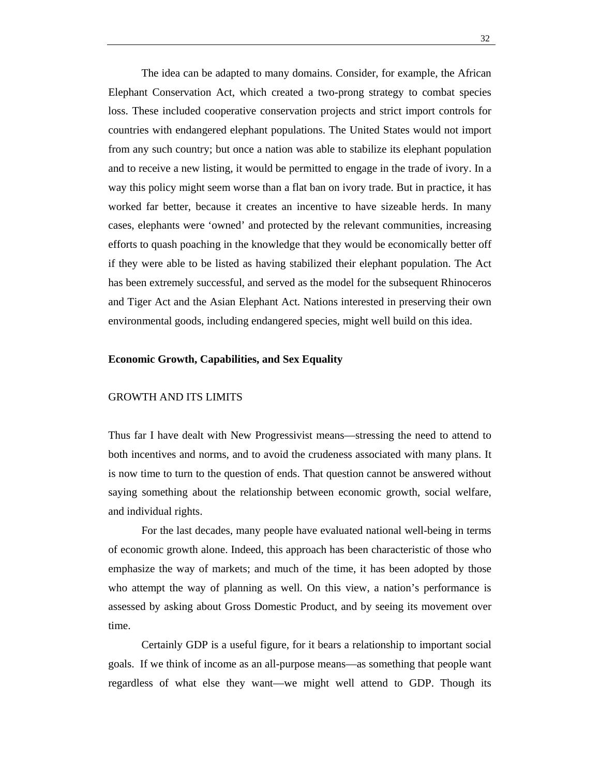The idea can be adapted to many domains. Consider, for example, the African Elephant Conservation Act, which created a two-prong strategy to combat species loss. These included cooperative conservation projects and strict import controls for countries with endangered elephant populations. The United States would not import from any such country; but once a nation was able to stabilize its elephant population and to receive a new listing, it would be permitted to engage in the trade of ivory. In a way this policy might seem worse than a flat ban on ivory trade. But in practice, it has worked far better, because it creates an incentive to have sizeable herds. In many cases, elephants were 'owned' and protected by the relevant communities, increasing efforts to quash poaching in the knowledge that they would be economically better off if they were able to be listed as having stabilized their elephant population. The Act has been extremely successful, and served as the model for the subsequent Rhinoceros and Tiger Act and the Asian Elephant Act. Nations interested in preserving their own environmental goods, including endangered species, might well build on this idea.

#### **Economic Growth, Capabilities, and Sex Equality**

### GROWTH AND ITS LIMITS

Thus far I have dealt with New Progressivist means—stressing the need to attend to both incentives and norms, and to avoid the crudeness associated with many plans. It is now time to turn to the question of ends. That question cannot be answered without saying something about the relationship between economic growth, social welfare, and individual rights.

For the last decades, many people have evaluated national well-being in terms of economic growth alone. Indeed, this approach has been characteristic of those who emphasize the way of markets; and much of the time, it has been adopted by those who attempt the way of planning as well. On this view, a nation's performance is assessed by asking about Gross Domestic Product, and by seeing its movement over time.

Certainly GDP is a useful figure, for it bears a relationship to important social goals. If we think of income as an all-purpose means—as something that people want regardless of what else they want—we might well attend to GDP. Though its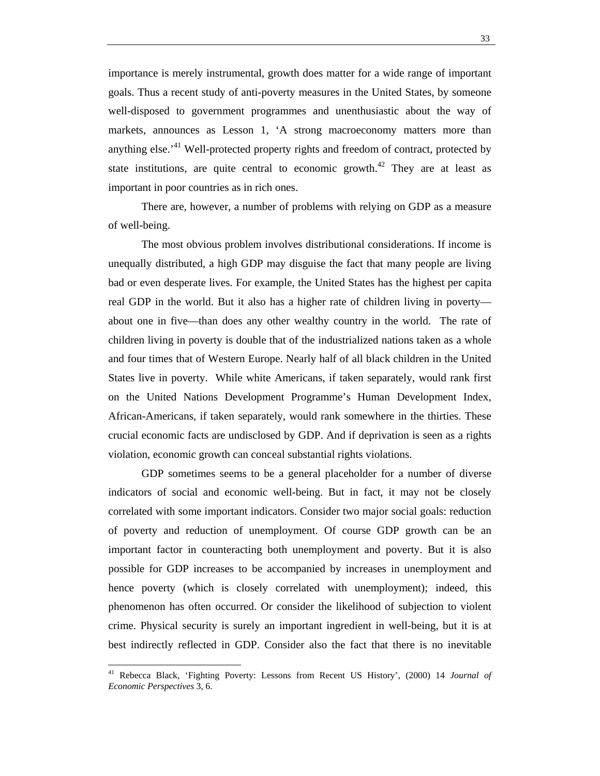importance is merely instrumental, growth does matter for a wide range of important goals. Thus a recent study of anti-poverty measures in the United States, by someone well-disposed to government programmes and unenthusiastic about the way of markets, announces as Lesson 1, 'A strong macroeconomy matters more than anything else.<sup>41</sup> Well-protected property rights and freedom of contract, protected by state institutions, are quite central to economic growth.<sup>42</sup> They are at least as important in poor countries as in rich ones.

There are, however, a number of problems with relying on GDP as a measure of well-being.

The most obvious problem involves distributional considerations. If income is unequally distributed, a high GDP may disguise the fact that many people are living bad or even desperate lives. For example, the United States has the highest per capita real GDP in the world. But it also has a higher rate of children living in poverty about one in five—than does any other wealthy country in the world. The rate of children living in poverty is double that of the industrialized nations taken as a whole and four times that of Western Europe. Nearly half of all black children in the United States live in poverty. While white Americans, if taken separately, would rank first on the United Nations Development Programme's Human Development Index, African-Americans, if taken separately, would rank somewhere in the thirties. These crucial economic facts are undisclosed by GDP. And if deprivation is seen as a rights violation, economic growth can conceal substantial rights violations.

GDP sometimes seems to be a general placeholder for a number of diverse indicators of social and economic well-being. But in fact, it may not be closely correlated with some important indicators. Consider two major social goals: reduction of poverty and reduction of unemployment. Of course GDP growth can be an important factor in counteracting both unemployment and poverty. But it is also possible for GDP increases to be accompanied by increases in unemployment and hence poverty (which is closely correlated with unemployment); indeed, this phenomenon has often occurred. Or consider the likelihood of subjection to violent crime. Physical security is surely an important ingredient in well-being, but it is at best indirectly reflected in GDP. Consider also the fact that there is no inevitable

<sup>41</sup> Rebecca Black, 'Fighting Poverty: Lessons from Recent US History', (2000) 14 *Journal of Economic Perspectives* 3, 6.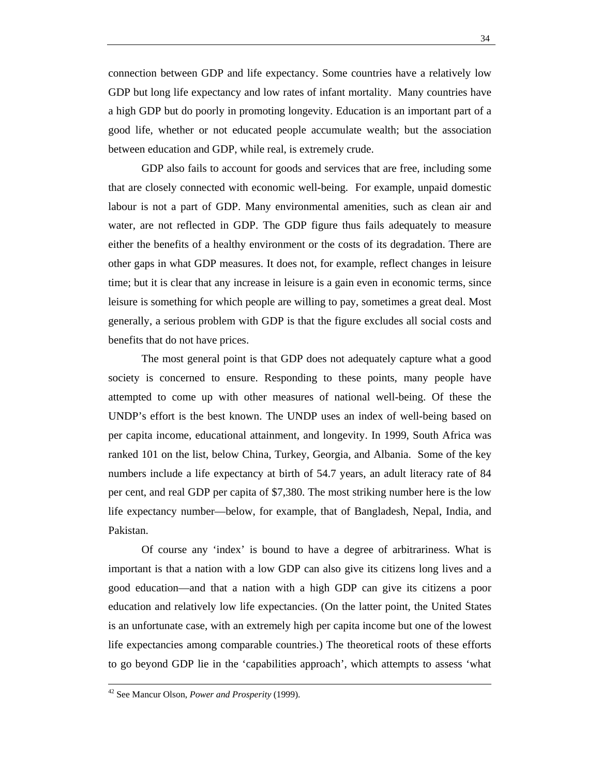connection between GDP and life expectancy. Some countries have a relatively low GDP but long life expectancy and low rates of infant mortality. Many countries have a high GDP but do poorly in promoting longevity. Education is an important part of a good life, whether or not educated people accumulate wealth; but the association between education and GDP, while real, is extremely crude.

GDP also fails to account for goods and services that are free, including some that are closely connected with economic well-being. For example, unpaid domestic labour is not a part of GDP. Many environmental amenities, such as clean air and water, are not reflected in GDP. The GDP figure thus fails adequately to measure either the benefits of a healthy environment or the costs of its degradation. There are other gaps in what GDP measures. It does not, for example, reflect changes in leisure time; but it is clear that any increase in leisure is a gain even in economic terms, since leisure is something for which people are willing to pay, sometimes a great deal. Most generally, a serious problem with GDP is that the figure excludes all social costs and benefits that do not have prices.

The most general point is that GDP does not adequately capture what a good society is concerned to ensure. Responding to these points, many people have attempted to come up with other measures of national well-being. Of these the UNDP's effort is the best known. The UNDP uses an index of well-being based on per capita income, educational attainment, and longevity. In 1999, South Africa was ranked 101 on the list, below China, Turkey, Georgia, and Albania. Some of the key numbers include a life expectancy at birth of 54.7 years, an adult literacy rate of 84 per cent, and real GDP per capita of \$7,380. The most striking number here is the low life expectancy number—below, for example, that of Bangladesh, Nepal, India, and Pakistan.

Of course any 'index' is bound to have a degree of arbitrariness. What is important is that a nation with a low GDP can also give its citizens long lives and a good education—and that a nation with a high GDP can give its citizens a poor education and relatively low life expectancies. (On the latter point, the United States is an unfortunate case, with an extremely high per capita income but one of the lowest life expectancies among comparable countries.) The theoretical roots of these efforts to go beyond GDP lie in the 'capabilities approach', which attempts to assess 'what

42 See Mancur Olson, *Power and Prosperity* (1999).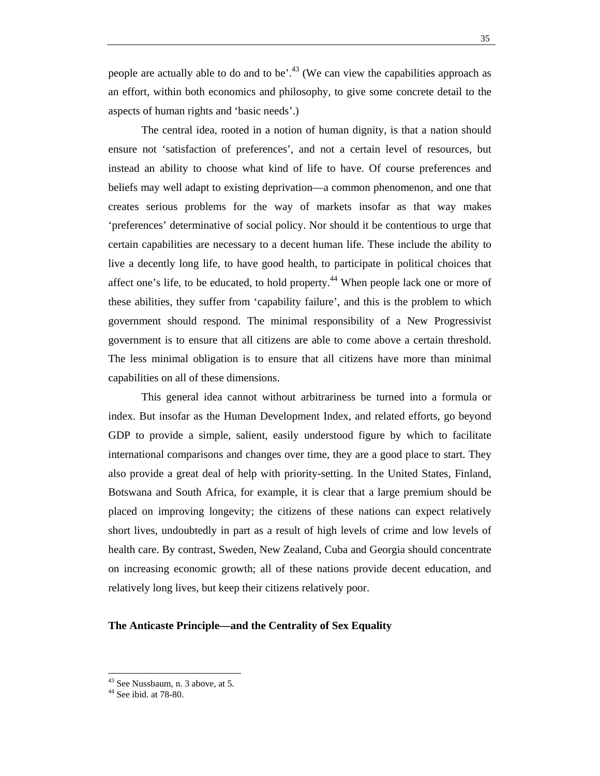people are actually able to do and to be'.<sup>43</sup> (We can view the capabilities approach as an effort, within both economics and philosophy, to give some concrete detail to the aspects of human rights and 'basic needs'.)

The central idea, rooted in a notion of human dignity, is that a nation should ensure not 'satisfaction of preferences', and not a certain level of resources, but instead an ability to choose what kind of life to have. Of course preferences and beliefs may well adapt to existing deprivation—a common phenomenon, and one that creates serious problems for the way of markets insofar as that way makes 'preferences' determinative of social policy. Nor should it be contentious to urge that certain capabilities are necessary to a decent human life. These include the ability to live a decently long life, to have good health, to participate in political choices that affect one's life, to be educated, to hold property.<sup>44</sup> When people lack one or more of these abilities, they suffer from 'capability failure', and this is the problem to which government should respond. The minimal responsibility of a New Progressivist government is to ensure that all citizens are able to come above a certain threshold. The less minimal obligation is to ensure that all citizens have more than minimal capabilities on all of these dimensions.

This general idea cannot without arbitrariness be turned into a formula or index. But insofar as the Human Development Index, and related efforts, go beyond GDP to provide a simple, salient, easily understood figure by which to facilitate international comparisons and changes over time, they are a good place to start. They also provide a great deal of help with priority-setting. In the United States, Finland, Botswana and South Africa, for example, it is clear that a large premium should be placed on improving longevity; the citizens of these nations can expect relatively short lives, undoubtedly in part as a result of high levels of crime and low levels of health care. By contrast, Sweden, New Zealand, Cuba and Georgia should concentrate on increasing economic growth; all of these nations provide decent education, and relatively long lives, but keep their citizens relatively poor.

### **The Anticaste Principle—and the Centrality of Sex Equality**

<sup>&</sup>lt;sup>43</sup> See Nussbaum, n. 3 above, at 5.

<sup>44</sup> See ibid. at 78-80.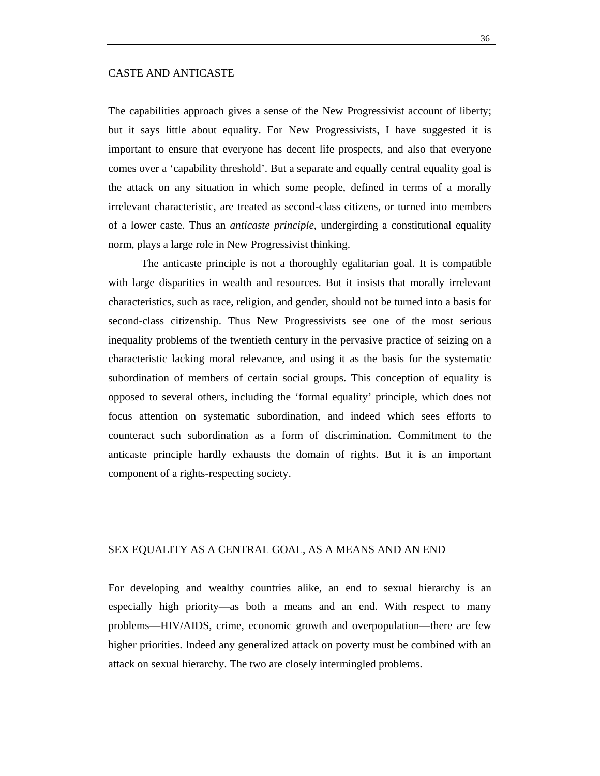## CASTE AND ANTICASTE

The capabilities approach gives a sense of the New Progressivist account of liberty; but it says little about equality. For New Progressivists, I have suggested it is important to ensure that everyone has decent life prospects, and also that everyone comes over a 'capability threshold'. But a separate and equally central equality goal is the attack on any situation in which some people, defined in terms of a morally irrelevant characteristic, are treated as second-class citizens, or turned into members of a lower caste. Thus an *anticaste principle*, undergirding a constitutional equality norm, plays a large role in New Progressivist thinking.

The anticaste principle is not a thoroughly egalitarian goal. It is compatible with large disparities in wealth and resources. But it insists that morally irrelevant characteristics, such as race, religion, and gender, should not be turned into a basis for second-class citizenship. Thus New Progressivists see one of the most serious inequality problems of the twentieth century in the pervasive practice of seizing on a characteristic lacking moral relevance, and using it as the basis for the systematic subordination of members of certain social groups. This conception of equality is opposed to several others, including the 'formal equality' principle, which does not focus attention on systematic subordination, and indeed which sees efforts to counteract such subordination as a form of discrimination. Commitment to the anticaste principle hardly exhausts the domain of rights. But it is an important component of a rights-respecting society.

## SEX EQUALITY AS A CENTRAL GOAL, AS A MEANS AND AN END

For developing and wealthy countries alike, an end to sexual hierarchy is an especially high priority—as both a means and an end. With respect to many problems—HIV/AIDS, crime, economic growth and overpopulation—there are few higher priorities. Indeed any generalized attack on poverty must be combined with an attack on sexual hierarchy. The two are closely intermingled problems.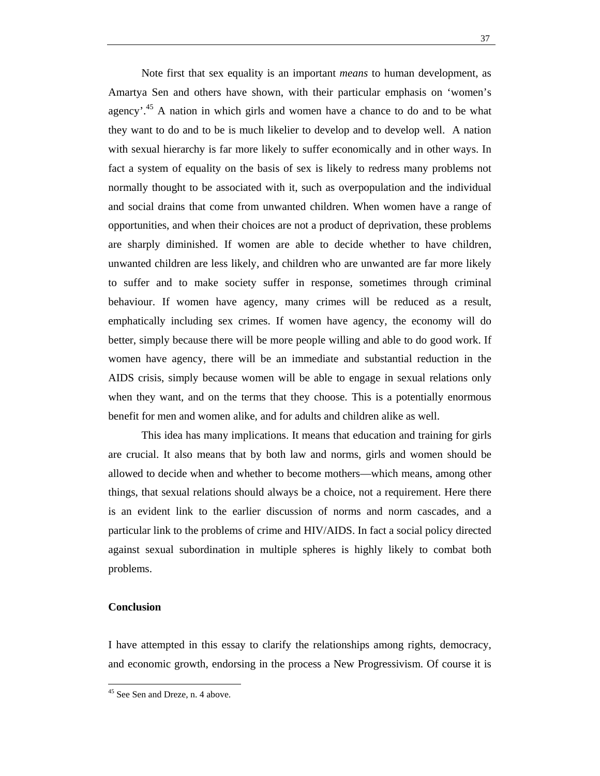Note first that sex equality is an important *means* to human development, as Amartya Sen and others have shown, with their particular emphasis on 'women's agency'<sup>45</sup> A nation in which girls and women have a chance to do and to be what they want to do and to be is much likelier to develop and to develop well. A nation with sexual hierarchy is far more likely to suffer economically and in other ways. In fact a system of equality on the basis of sex is likely to redress many problems not normally thought to be associated with it, such as overpopulation and the individual and social drains that come from unwanted children. When women have a range of opportunities, and when their choices are not a product of deprivation, these problems are sharply diminished. If women are able to decide whether to have children, unwanted children are less likely, and children who are unwanted are far more likely to suffer and to make society suffer in response, sometimes through criminal behaviour. If women have agency, many crimes will be reduced as a result, emphatically including sex crimes. If women have agency, the economy will do better, simply because there will be more people willing and able to do good work. If women have agency, there will be an immediate and substantial reduction in the AIDS crisis, simply because women will be able to engage in sexual relations only when they want, and on the terms that they choose. This is a potentially enormous benefit for men and women alike, and for adults and children alike as well.

This idea has many implications. It means that education and training for girls are crucial. It also means that by both law and norms, girls and women should be allowed to decide when and whether to become mothers—which means, among other things, that sexual relations should always be a choice, not a requirement. Here there is an evident link to the earlier discussion of norms and norm cascades, and a particular link to the problems of crime and HIV/AIDS. In fact a social policy directed against sexual subordination in multiple spheres is highly likely to combat both problems.

## **Conclusion**

I have attempted in this essay to clarify the relationships among rights, democracy, and economic growth, endorsing in the process a New Progressivism. Of course it is

<sup>&</sup>lt;sup>45</sup> See Sen and Dreze, n. 4 above.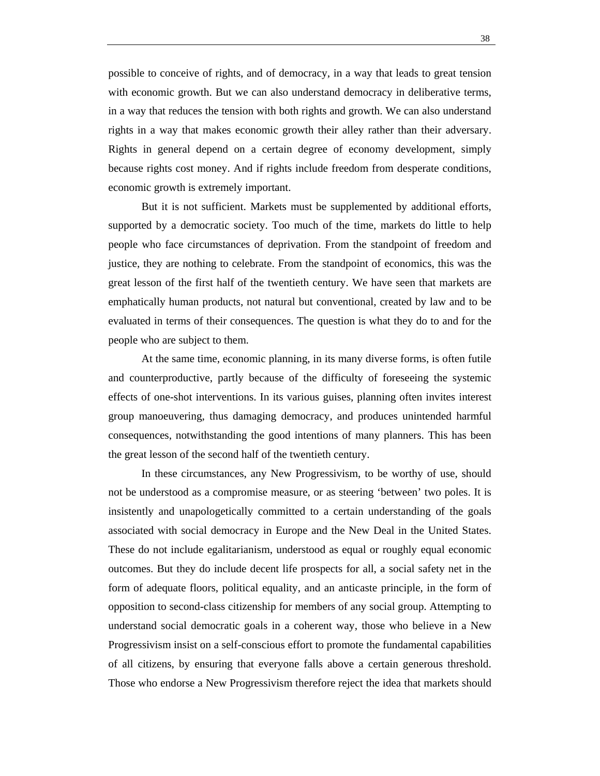possible to conceive of rights, and of democracy, in a way that leads to great tension with economic growth. But we can also understand democracy in deliberative terms, in a way that reduces the tension with both rights and growth. We can also understand rights in a way that makes economic growth their alley rather than their adversary. Rights in general depend on a certain degree of economy development, simply because rights cost money. And if rights include freedom from desperate conditions, economic growth is extremely important.

But it is not sufficient. Markets must be supplemented by additional efforts, supported by a democratic society. Too much of the time, markets do little to help people who face circumstances of deprivation. From the standpoint of freedom and justice, they are nothing to celebrate. From the standpoint of economics, this was the great lesson of the first half of the twentieth century. We have seen that markets are emphatically human products, not natural but conventional, created by law and to be evaluated in terms of their consequences. The question is what they do to and for the people who are subject to them.

At the same time, economic planning, in its many diverse forms, is often futile and counterproductive, partly because of the difficulty of foreseeing the systemic effects of one-shot interventions. In its various guises, planning often invites interest group manoeuvering, thus damaging democracy, and produces unintended harmful consequences, notwithstanding the good intentions of many planners. This has been the great lesson of the second half of the twentieth century.

In these circumstances, any New Progressivism, to be worthy of use, should not be understood as a compromise measure, or as steering 'between' two poles. It is insistently and unapologetically committed to a certain understanding of the goals associated with social democracy in Europe and the New Deal in the United States. These do not include egalitarianism, understood as equal or roughly equal economic outcomes. But they do include decent life prospects for all, a social safety net in the form of adequate floors, political equality, and an anticaste principle, in the form of opposition to second-class citizenship for members of any social group. Attempting to understand social democratic goals in a coherent way, those who believe in a New Progressivism insist on a self-conscious effort to promote the fundamental capabilities of all citizens, by ensuring that everyone falls above a certain generous threshold. Those who endorse a New Progressivism therefore reject the idea that markets should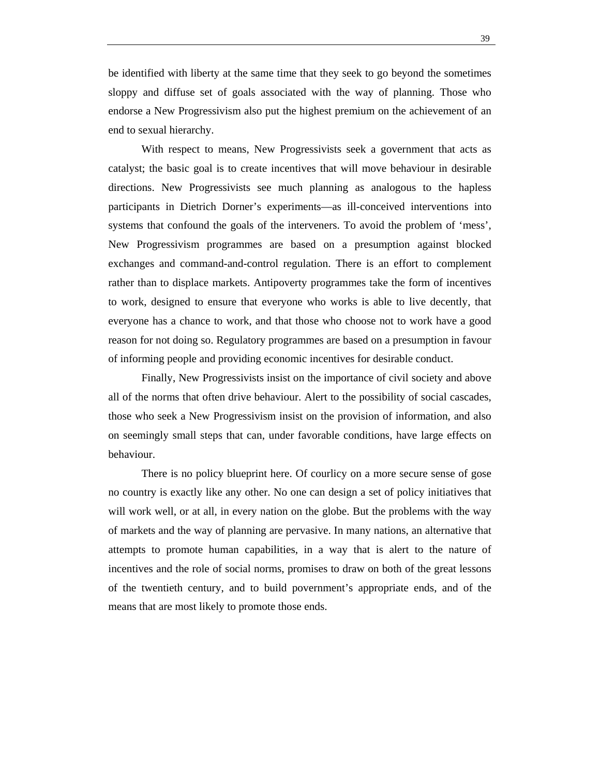be identified with liberty at the same time that they seek to go beyond the sometimes sloppy and diffuse set of goals associated with the way of planning. Those who endorse a New Progressivism also put the highest premium on the achievement of an end to sexual hierarchy.

With respect to means, New Progressivists seek a government that acts as catalyst; the basic goal is to create incentives that will move behaviour in desirable directions. New Progressivists see much planning as analogous to the hapless participants in Dietrich Dorner's experiments—as ill-conceived interventions into systems that confound the goals of the interveners. To avoid the problem of 'mess', New Progressivism programmes are based on a presumption against blocked exchanges and command-and-control regulation. There is an effort to complement rather than to displace markets. Antipoverty programmes take the form of incentives to work, designed to ensure that everyone who works is able to live decently, that everyone has a chance to work, and that those who choose not to work have a good reason for not doing so. Regulatory programmes are based on a presumption in favour of informing people and providing economic incentives for desirable conduct.

Finally, New Progressivists insist on the importance of civil society and above all of the norms that often drive behaviour. Alert to the possibility of social cascades, those who seek a New Progressivism insist on the provision of information, and also on seemingly small steps that can, under favorable conditions, have large effects on behaviour.

There is no policy blueprint here. Of courlicy on a more secure sense of gose no country is exactly like any other. No one can design a set of policy initiatives that will work well, or at all, in every nation on the globe. But the problems with the way of markets and the way of planning are pervasive. In many nations, an alternative that attempts to promote human capabilities, in a way that is alert to the nature of incentives and the role of social norms, promises to draw on both of the great lessons of the twentieth century, and to build povernment's appropriate ends, and of the means that are most likely to promote those ends.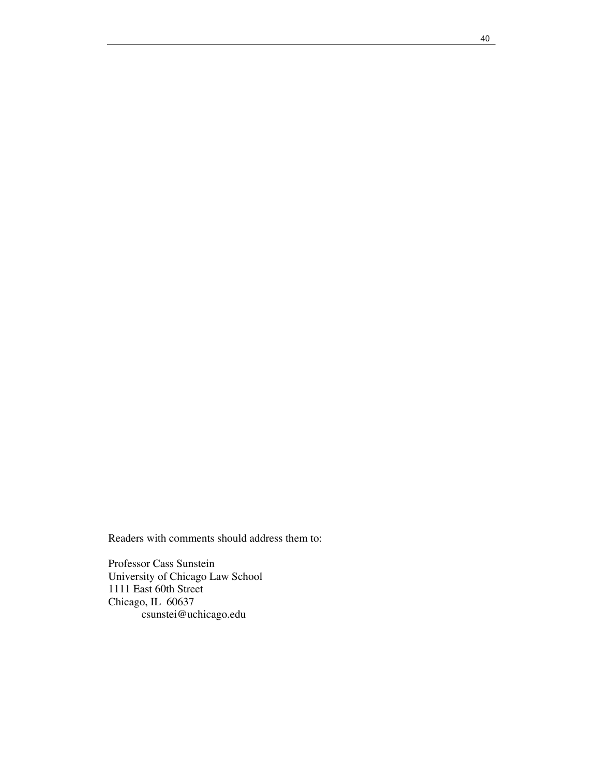Readers with comments should address them to:

Professor Cass Sunstein University of Chicago Law School 1111 East 60th Street Chicago, IL 60637 csunstei@uchicago.edu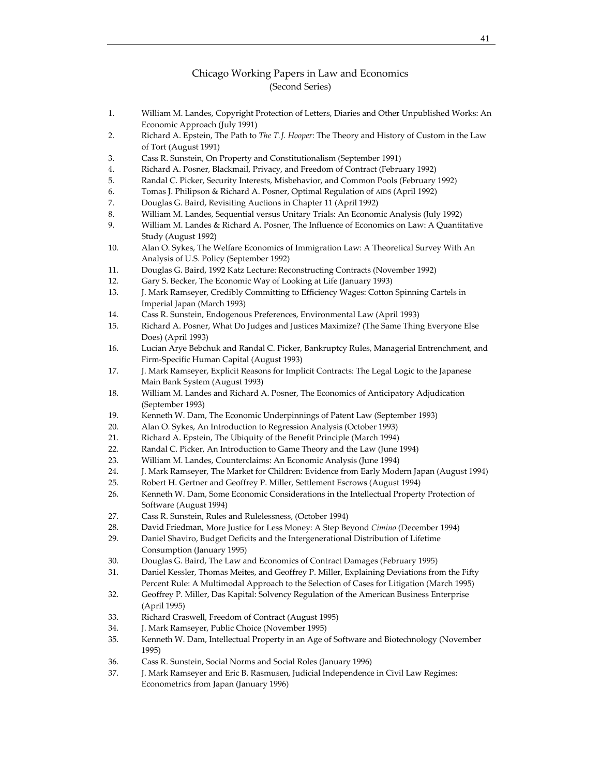## Chicago Working Papers in Law and Economics (Second Series)

- 1. William M. Landes, Copyright Protection of Letters, Diaries and Other Unpublished Works: An Economic Approach (July 1991)
- 2. Richard A. Epstein, The Path to *The T.J. Hooper*: The Theory and History of Custom in the Law of Tort (August 1991)
- 3. Cass R. Sunstein, On Property and Constitutionalism (September 1991)
- 4. Richard A. Posner, Blackmail, Privacy, and Freedom of Contract (February 1992)
- 5. Randal C. Picker, Security Interests, Misbehavior, and Common Pools (February 1992)
- 6. Tomas J. Philipson & Richard A. Posner, Optimal Regulation of AIDS (April 1992)
- 7. Douglas G. Baird, Revisiting Auctions in Chapter 11 (April 1992)
- 8. William M. Landes, Sequential versus Unitary Trials: An Economic Analysis (July 1992)
- 9. William M. Landes & Richard A. Posner, The Influence of Economics on Law: A Quantitative Study (August 1992)
- 10. Alan O. Sykes, The Welfare Economics of Immigration Law: A Theoretical Survey With An Analysis of U.S. Policy (September 1992)
- 11. Douglas G. Baird, 1992 Katz Lecture: Reconstructing Contracts (November 1992)
- 12. Gary S. Becker, The Economic Way of Looking at Life (January 1993)
- 13. J. Mark Ramseyer, Credibly Committing to Efficiency Wages: Cotton Spinning Cartels in Imperial Japan (March 1993)
- 14. Cass R. Sunstein, Endogenous Preferences, Environmental Law (April 1993)
- 15. Richard A. Posner, What Do Judges and Justices Maximize? (The Same Thing Everyone Else Does) (April 1993)
- 16. Lucian Arye Bebchuk and Randal C. Picker, Bankruptcy Rules, Managerial Entrenchment, and Firm‐Specific Human Capital (August 1993)
- 17. J. Mark Ramseyer, Explicit Reasons for Implicit Contracts: The Legal Logic to the Japanese Main Bank System (August 1993)
- 18. William M. Landes and Richard A. Posner, The Economics of Anticipatory Adjudication (September 1993)
- 19. Kenneth W. Dam, The Economic Underpinnings of Patent Law (September 1993)
- 20. Alan O. Sykes, An Introduction to Regression Analysis (October 1993)
- 21. Richard A. Epstein, The Ubiquity of the Benefit Principle (March 1994)
- 22. Randal C. Picker, An Introduction to Game Theory and the Law (June 1994)
- 23. William M. Landes, Counterclaims: An Economic Analysis (June 1994)
- 24. J. Mark Ramseyer, The Market for Children: Evidence from Early Modern Japan (August 1994)
- 25. Robert H. Gertner and Geoffrey P. Miller, Settlement Escrows (August 1994)
- 26. Kenneth W. Dam, Some Economic Considerations in the Intellectual Property Protection of Software (August 1994)
- 27. Cass R. Sunstein, Rules and Rulelessness, (October 1994)
- 28. David Friedman, More Justice for Less Money: A Step Beyond *Cimino* (December 1994)
- 29. Daniel Shaviro, Budget Deficits and the Intergenerational Distribution of Lifetime Consumption (January 1995)
- 30. Douglas G. Baird, The Law and Economics of Contract Damages (February 1995)
- 31. Daniel Kessler, Thomas Meites, and Geoffrey P. Miller, Explaining Deviations from the Fifty Percent Rule: A Multimodal Approach to the Selection of Cases for Litigation (March 1995)
- 32. Geoffrey P. Miller, Das Kapital: Solvency Regulation of the American Business Enterprise (April 1995)
- 33. Richard Craswell, Freedom of Contract (August 1995)
- 34. J. Mark Ramseyer, Public Choice (November 1995)
- 35. Kenneth W. Dam, Intellectual Property in an Age of Software and Biotechnology (November 1995)
- 36. Cass R. Sunstein, Social Norms and Social Roles (January 1996)
- 37. J. Mark Ramseyer and Eric B. Rasmusen, Judicial Independence in Civil Law Regimes: Econometrics from Japan (January 1996)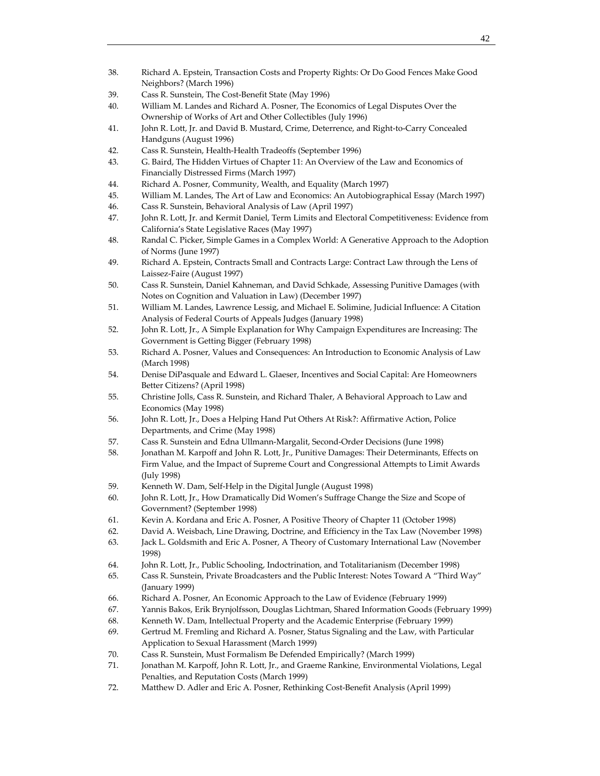- 38. Richard A. Epstein, Transaction Costs and Property Rights: Or Do Good Fences Make Good Neighbors? (March 1996)
- 39. Cass R. Sunstein, The Cost‐Benefit State (May 1996)
- 40. William M. Landes and Richard A. Posner, The Economics of Legal Disputes Over the Ownership of Works of Art and Other Collectibles (July 1996)
- 41. John R. Lott, Jr. and David B. Mustard, Crime, Deterrence, and Right-to-Carry Concealed Handguns (August 1996)
- 42. Cass R. Sunstein, Health‐Health Tradeoffs (September 1996)
- 43. G. Baird, The Hidden Virtues of Chapter 11: An Overview of the Law and Economics of Financially Distressed Firms (March 1997)
- 44. Richard A. Posner, Community, Wealth, and Equality (March 1997)
- 45. William M. Landes, The Art of Law and Economics: An Autobiographical Essay (March 1997)
- 46. Cass R. Sunstein, Behavioral Analysis of Law (April 1997)
- 47. John R. Lott, Jr. and Kermit Daniel, Term Limits and Electoral Competitiveness: Evidence from California's State Legislative Races (May 1997)
- 48. Randal C. Picker, Simple Games in a Complex World: A Generative Approach to the Adoption of Norms (June 1997)
- 49. Richard A. Epstein, Contracts Small and Contracts Large: Contract Law through the Lens of Laissez‐Faire (August 1997)
- 50. Cass R. Sunstein, Daniel Kahneman, and David Schkade, Assessing Punitive Damages (with Notes on Cognition and Valuation in Law) (December 1997)
- 51. William M. Landes, Lawrence Lessig, and Michael E. Solimine, Judicial Influence: A Citation Analysis of Federal Courts of Appeals Judges (January 1998)
- 52. John R. Lott, Jr., A Simple Explanation for Why Campaign Expenditures are Increasing: The Government is Getting Bigger (February 1998)
- 53. Richard A. Posner, Values and Consequences: An Introduction to Economic Analysis of Law (March 1998)
- 54. Denise DiPasquale and Edward L. Glaeser, Incentives and Social Capital: Are Homeowners Better Citizens? (April 1998)
- 55. Christine Jolls, Cass R. Sunstein, and Richard Thaler, A Behavioral Approach to Law and Economics (May 1998)
- 56. John R. Lott, Jr., Does a Helping Hand Put Others At Risk?: Affirmative Action, Police Departments, and Crime (May 1998)
- 57. Cass R. Sunstein and Edna Ullmann‐Margalit, Second‐Order Decisions (June 1998)
- 58. Jonathan M. Karpoff and John R. Lott, Jr., Punitive Damages: Their Determinants, Effects on Firm Value, and the Impact of Supreme Court and Congressional Attempts to Limit Awards (July 1998)
- 59. Kenneth W. Dam, Self‐Help in the Digital Jungle (August 1998)
- 60. John R. Lott, Jr., How Dramatically Did Women's Suffrage Change the Size and Scope of Government? (September 1998)
- 61. Kevin A. Kordana and Eric A. Posner, A Positive Theory of Chapter 11 (October 1998)
- 62. David A. Weisbach, Line Drawing, Doctrine, and Efficiency in the Tax Law (November 1998)
- 63. Jack L. Goldsmith and Eric A. Posner, A Theory of Customary International Law (November 1998)
- 64. John R. Lott, Jr., Public Schooling, Indoctrination, and Totalitarianism (December 1998)
- 65. Cass R. Sunstein, Private Broadcasters and the Public Interest: Notes Toward A "Third Way" (January 1999)
- 66. Richard A. Posner, An Economic Approach to the Law of Evidence (February 1999)
- 67. Yannis Bakos, Erik Brynjolfsson, Douglas Lichtman, Shared Information Goods (February 1999)
- 68. Kenneth W. Dam, Intellectual Property and the Academic Enterprise (February 1999)
- 69. Gertrud M. Fremling and Richard A. Posner, Status Signaling and the Law, with Particular Application to Sexual Harassment (March 1999)
- 70. Cass R. Sunstein, Must Formalism Be Defended Empirically? (March 1999)
- 71. Jonathan M. Karpoff, John R. Lott, Jr., and Graeme Rankine, Environmental Violations, Legal Penalties, and Reputation Costs (March 1999)
- 72. Matthew D. Adler and Eric A. Posner, Rethinking Cost-Benefit Analysis (April 1999)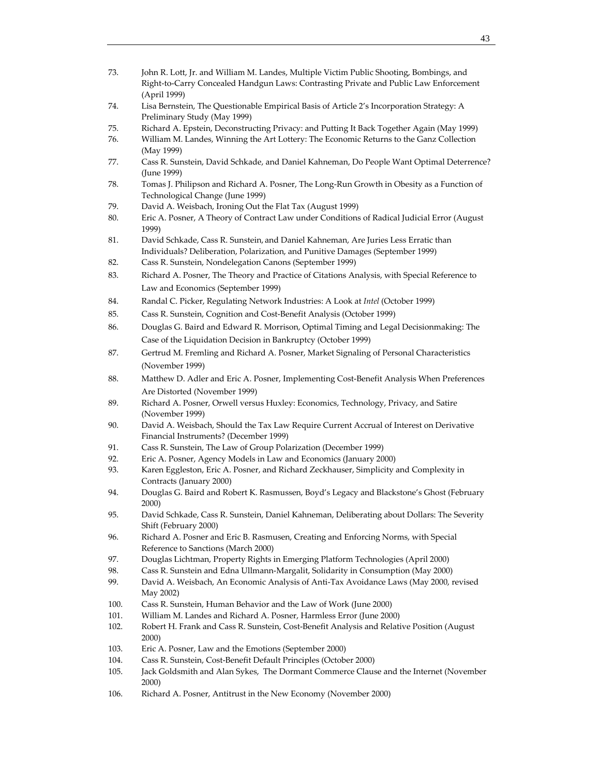- 73. John R. Lott, Jr. and William M. Landes, Multiple Victim Public Shooting, Bombings, and Right‐to‐Carry Concealed Handgun Laws: Contrasting Private and Public Law Enforcement (April 1999)
- 74. Lisa Bernstein, The Questionable Empirical Basis of Article 2's Incorporation Strategy: A Preliminary Study (May 1999)
- 75. Richard A. Epstein, Deconstructing Privacy: and Putting It Back Together Again (May 1999)
- 76. William M. Landes, Winning the Art Lottery: The Economic Returns to the Ganz Collection (May 1999)
- 77. Cass R. Sunstein, David Schkade, and Daniel Kahneman, Do People Want Optimal Deterrence? (June 1999)
- 78. Tomas J. Philipson and Richard A. Posner, The Long-Run Growth in Obesity as a Function of Technological Change (June 1999)
- 79. David A. Weisbach, Ironing Out the Flat Tax (August 1999)
- 80. Eric A. Posner, A Theory of Contract Law under Conditions of Radical Judicial Error (August 1999)
- 81. David Schkade, Cass R. Sunstein, and Daniel Kahneman, Are Juries Less Erratic than Individuals? Deliberation, Polarization, and Punitive Damages (September 1999)
- 82. Cass R. Sunstein, Nondelegation Canons (September 1999)
- 83. Richard A. Posner, The Theory and Practice of Citations Analysis, with Special Reference to Law and Economics (September 1999)
- 84. Randal C. Picker, Regulating Network Industries: A Look at *Intel* (October 1999)
- 85. Cass R. Sunstein, Cognition and Cost‐Benefit Analysis (October 1999)
- 86. Douglas G. Baird and Edward R. Morrison, Optimal Timing and Legal Decisionmaking: The Case of the Liquidation Decision in Bankruptcy (October 1999)
- 87. Gertrud M. Fremling and Richard A. Posner, Market Signaling of Personal Characteristics (November 1999)
- 88. Matthew D. Adler and Eric A. Posner, Implementing Cost-Benefit Analysis When Preferences Are Distorted (November 1999)
- 89. Richard A. Posner, Orwell versus Huxley: Economics, Technology, Privacy, and Satire (November 1999)
- 90. David A. Weisbach, Should the Tax Law Require Current Accrual of Interest on Derivative Financial Instruments? (December 1999)
- 91. Cass R. Sunstein, The Law of Group Polarization (December 1999)
- 92. Eric A. Posner, Agency Models in Law and Economics (January 2000)
- 93. Karen Eggleston, Eric A. Posner, and Richard Zeckhauser, Simplicity and Complexity in Contracts (January 2000)
- 94. Douglas G. Baird and Robert K. Rasmussen, Boyd's Legacy and Blackstone's Ghost (February 2000)
- 95. David Schkade, Cass R. Sunstein, Daniel Kahneman, Deliberating about Dollars: The Severity Shift (February 2000)
- 96. Richard A. Posner and Eric B. Rasmusen, Creating and Enforcing Norms, with Special Reference to Sanctions (March 2000)
- 97. Douglas Lichtman, Property Rights in Emerging Platform Technologies (April 2000)
- 98. Cass R. Sunstein and Edna Ullmann-Margalit, Solidarity in Consumption (May 2000)
- 99. David A. Weisbach, An Economic Analysis of Anti-Tax Avoidance Laws (May 2000, revised May 2002)
- 100. Cass R. Sunstein, Human Behavior and the Law of Work (June 2000)
- 101. William M. Landes and Richard A. Posner, Harmless Error (June 2000)
- 102. Robert H. Frank and Cass R. Sunstein, Cost‐Benefit Analysis and Relative Position (August 2000)
- 103. Eric A. Posner, Law and the Emotions (September 2000)
- 104. Cass R. Sunstein, Cost‐Benefit Default Principles (October 2000)
- 105. Jack Goldsmith and Alan Sykes, The Dormant Commerce Clause and the Internet (November 2000)
- 106. Richard A. Posner, Antitrust in the New Economy (November 2000)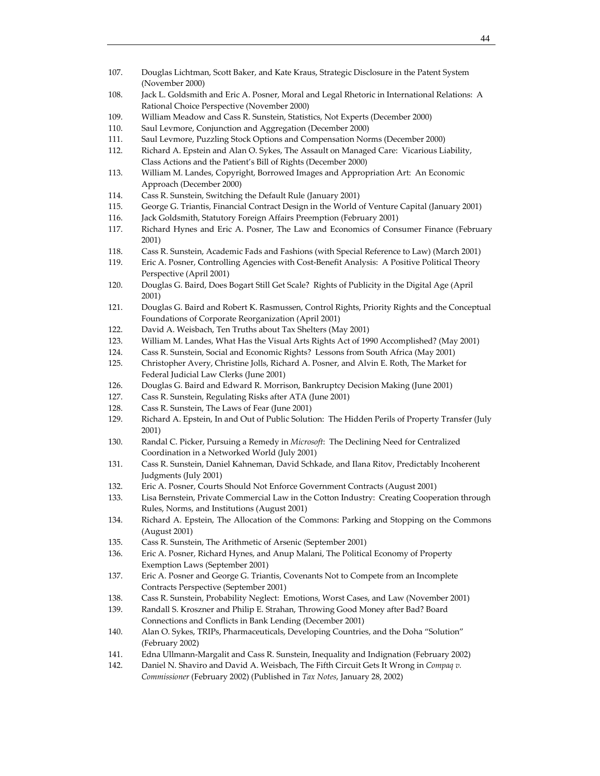- 107. Douglas Lichtman, Scott Baker, and Kate Kraus, Strategic Disclosure in the Patent System (November 2000)
- 108. Jack L. Goldsmith and Eric A. Posner, Moral and Legal Rhetoric in International Relations: A Rational Choice Perspective (November 2000)
- 109. William Meadow and Cass R. Sunstein, Statistics, Not Experts (December 2000)
- 110. Saul Levmore, Conjunction and Aggregation (December 2000)
- 111. Saul Levmore, Puzzling Stock Options and Compensation Norms (December 2000)
- 112. Richard A. Epstein and Alan O. Sykes, The Assault on Managed Care: Vicarious Liability, Class Actions and the Patient's Bill of Rights (December 2000)
- 113. William M. Landes, Copyright, Borrowed Images and Appropriation Art: An Economic Approach (December 2000)
- 114. Cass R. Sunstein, Switching the Default Rule (January 2001)
- 115. George G. Triantis, Financial Contract Design in the World of Venture Capital (January 2001)
- 116. Jack Goldsmith, Statutory Foreign Affairs Preemption (February 2001)
- 117. Richard Hynes and Eric A. Posner, The Law and Economics of Consumer Finance (February 2001)
- 118. Cass R. Sunstein, Academic Fads and Fashions (with Special Reference to Law) (March 2001)
- 119. Eric A. Posner, Controlling Agencies with Cost-Benefit Analysis: A Positive Political Theory Perspective (April 2001)
- 120. Douglas G. Baird, Does Bogart Still Get Scale? Rights of Publicity in the Digital Age (April 2001)
- 121. Douglas G. Baird and Robert K. Rasmussen, Control Rights, Priority Rights and the Conceptual Foundations of Corporate Reorganization (April 2001)
- 122. David A. Weisbach, Ten Truths about Tax Shelters (May 2001)
- 123. William M. Landes, What Has the Visual Arts Rights Act of 1990 Accomplished? (May 2001)
- 124. Cass R. Sunstein, Social and Economic Rights? Lessons from South Africa (May 2001)
- 125. Christopher Avery, Christine Jolls, Richard A. Posner, and Alvin E. Roth, The Market for Federal Judicial Law Clerks (June 2001)
- 126. Douglas G. Baird and Edward R. Morrison, Bankruptcy Decision Making (June 2001)
- 127. Cass R. Sunstein, Regulating Risks after ATA (June 2001)
- 128. Cass R. Sunstein, The Laws of Fear (June 2001)
- 129. Richard A. Epstein, In and Out of Public Solution: The Hidden Perils of Property Transfer (July 2001)
- 130. Randal C. Picker, Pursuing a Remedy in *Microsoft*: The Declining Need for Centralized Coordination in a Networked World (July 2001)
- 131. Cass R. Sunstein, Daniel Kahneman, David Schkade, and Ilana Ritov, Predictably Incoherent Judgments (July 2001)
- 132. Eric A. Posner, Courts Should Not Enforce Government Contracts (August 2001)
- 133. Lisa Bernstein, Private Commercial Law in the Cotton Industry: Creating Cooperation through Rules, Norms, and Institutions (August 2001)
- 134. Richard A. Epstein, The Allocation of the Commons: Parking and Stopping on the Commons (August 2001)
- 135. Cass R. Sunstein, The Arithmetic of Arsenic (September 2001)
- 136. Eric A. Posner, Richard Hynes, and Anup Malani, The Political Economy of Property Exemption Laws (September 2001)
- 137. Eric A. Posner and George G. Triantis, Covenants Not to Compete from an Incomplete Contracts Perspective (September 2001)
- 138. Cass R. Sunstein, Probability Neglect: Emotions, Worst Cases, and Law (November 2001)
- 139. Randall S. Kroszner and Philip E. Strahan, Throwing Good Money after Bad? Board Connections and Conflicts in Bank Lending (December 2001)
- 140. Alan O. Sykes, TRIPs, Pharmaceuticals, Developing Countries, and the Doha "Solution" (February 2002)
- 141. Edna Ullmann‐Margalit and Cass R. Sunstein, Inequality and Indignation (February 2002)
- 142. Daniel N. Shaviro and David A. Weisbach, The Fifth Circuit Gets It Wrong in *Compaq v. Commissioner* (February 2002) (Published in *Tax Notes*, January 28, 2002)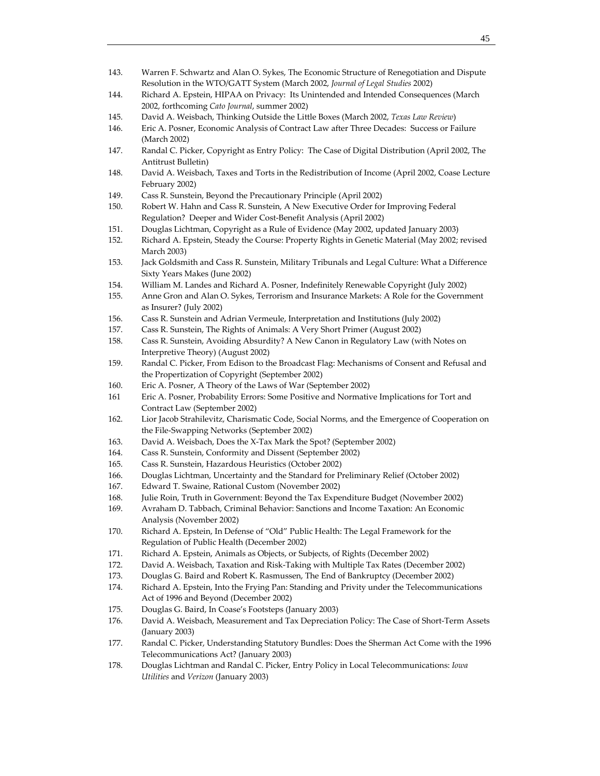- 143. Warren F. Schwartz and Alan O. Sykes, The Economic Structure of Renegotiation and Dispute Resolution in the WTO/GATT System (March 2002, *Journal of Legal Studies* 2002)
- 144. Richard A. Epstein, HIPAA on Privacy: Its Unintended and Intended Consequences (March 2002, forthcoming *Cato Journal*, summer 2002)
- 145. David A. Weisbach, Thinking Outside the Little Boxes (March 2002, *Texas Law Review*)
- 146. Eric A. Posner, Economic Analysis of Contract Law after Three Decades: Success or Failure (March 2002)
- 147. Randal C. Picker, Copyright as Entry Policy: The Case of Digital Distribution (April 2002, The Antitrust Bulletin)
- 148. David A. Weisbach, Taxes and Torts in the Redistribution of Income (April 2002, Coase Lecture February 2002)
- 149. Cass R. Sunstein, Beyond the Precautionary Principle (April 2002)
- 150. Robert W. Hahn and Cass R. Sunstein, A New Executive Order for Improving Federal Regulation? Deeper and Wider Cost‐Benefit Analysis (April 2002)
- 151. Douglas Lichtman, Copyright as a Rule of Evidence (May 2002, updated January 2003)
- 152. Richard A. Epstein, Steady the Course: Property Rights in Genetic Material (May 2002; revised March 2003)
- 153. Jack Goldsmith and Cass R. Sunstein, Military Tribunals and Legal Culture: What a Difference Sixty Years Makes (June 2002)
- 154. William M. Landes and Richard A. Posner, Indefinitely Renewable Copyright (July 2002)
- 155. Anne Gron and Alan O. Sykes, Terrorism and Insurance Markets: A Role for the Government as Insurer? (July 2002)
- 156. Cass R. Sunstein and Adrian Vermeule, Interpretation and Institutions (July 2002)
- 157. Cass R. Sunstein, The Rights of Animals: A Very Short Primer (August 2002)
- 158. Cass R. Sunstein, Avoiding Absurdity? A New Canon in Regulatory Law (with Notes on Interpretive Theory) (August 2002)
- 159. Randal C. Picker, From Edison to the Broadcast Flag: Mechanisms of Consent and Refusal and the Propertization of Copyright (September 2002)
- 160. Eric A. Posner, A Theory of the Laws of War (September 2002)
- 161 Eric A. Posner, Probability Errors: Some Positive and Normative Implications for Tort and Contract Law (September 2002)
- 162. Lior Jacob Strahilevitz, Charismatic Code, Social Norms, and the Emergence of Cooperation on the File‐Swapping Networks (September 2002)
- 163. David A. Weisbach, Does the X‐Tax Mark the Spot? (September 2002)
- 164. Cass R. Sunstein, Conformity and Dissent (September 2002)
- 165. Cass R. Sunstein, Hazardous Heuristics (October 2002)
- 166. Douglas Lichtman, Uncertainty and the Standard for Preliminary Relief (October 2002)
- 167. Edward T. Swaine, Rational Custom (November 2002)
- 168. Julie Roin, Truth in Government: Beyond the Tax Expenditure Budget (November 2002)
- 169. Avraham D. Tabbach, Criminal Behavior: Sanctions and Income Taxation: An Economic Analysis (November 2002)
- 170. Richard A. Epstein, In Defense of "Old" Public Health: The Legal Framework for the Regulation of Public Health (December 2002)
- 171. Richard A. Epstein, Animals as Objects, or Subjects, of Rights (December 2002)
- 172. David A. Weisbach, Taxation and Risk-Taking with Multiple Tax Rates (December 2002)
- 173. Douglas G. Baird and Robert K. Rasmussen, The End of Bankruptcy (December 2002)
- 174. Richard A. Epstein, Into the Frying Pan: Standing and Privity under the Telecommunications Act of 1996 and Beyond (December 2002)
- 175. Douglas G. Baird, In Coase's Footsteps (January 2003)
- 176. David A. Weisbach, Measurement and Tax Depreciation Policy: The Case of Short-Term Assets (January 2003)
- 177. Randal C. Picker, Understanding Statutory Bundles: Does the Sherman Act Come with the 1996 Telecommunications Act? (January 2003)
- 178. Douglas Lichtman and Randal C. Picker, Entry Policy in Local Telecommunications: *Iowa Utilities* and *Verizon* (January 2003)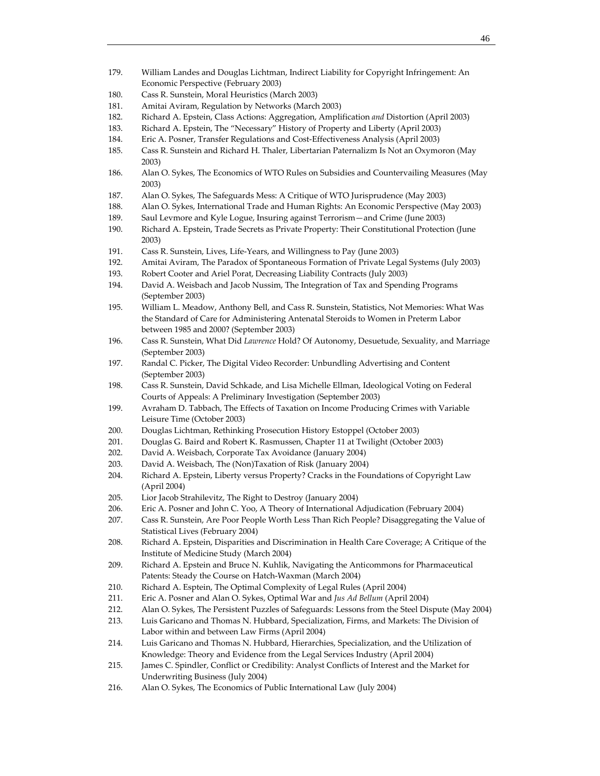- 179. William Landes and Douglas Lichtman, Indirect Liability for Copyright Infringement: An Economic Perspective (February 2003)
- 180. Cass R. Sunstein, Moral Heuristics (March 2003)
- 181. Amitai Aviram, Regulation by Networks (March 2003)
- 182. Richard A. Epstein, Class Actions: Aggregation, Amplification *and* Distortion (April 2003)
- 183. Richard A. Epstein, The "Necessary" History of Property and Liberty (April 2003)
- 184. Eric A. Posner, Transfer Regulations and Cost-Effectiveness Analysis (April 2003)
- 185. Cass R. Sunstein and Richard H. Thaler, Libertarian Paternalizm Is Not an Oxymoron (May 2003)
- 186. Alan O. Sykes, The Economics of WTO Rules on Subsidies and Countervailing Measures (May 2003)
- 187. Alan O. Sykes, The Safeguards Mess: A Critique of WTO Jurisprudence (May 2003)
- 188. Alan O. Sykes, International Trade and Human Rights: An Economic Perspective (May 2003)
- 189. Saul Levmore and Kyle Logue, Insuring against Terrorism—and Crime (June 2003)
- 190. Richard A. Epstein, Trade Secrets as Private Property: Their Constitutional Protection (June 2003)
- 191. Cass R. Sunstein, Lives, Life-Years, and Willingness to Pay (June 2003)
- 192. Amitai Aviram, The Paradox of Spontaneous Formation of Private Legal Systems (July 2003)
- 193. Robert Cooter and Ariel Porat, Decreasing Liability Contracts (July 2003)
- 194. David A. Weisbach and Jacob Nussim, The Integration of Tax and Spending Programs (September 2003)
- 195. William L. Meadow, Anthony Bell, and Cass R. Sunstein, Statistics, Not Memories: What Was the Standard of Care for Administering Antenatal Steroids to Women in Preterm Labor between 1985 and 2000? (September 2003)
- 196. Cass R. Sunstein, What Did *Lawrence* Hold? Of Autonomy, Desuetude, Sexuality, and Marriage (September 2003)
- 197. Randal C. Picker, The Digital Video Recorder: Unbundling Advertising and Content (September 2003)
- 198. Cass R. Sunstein, David Schkade, and Lisa Michelle Ellman, Ideological Voting on Federal Courts of Appeals: A Preliminary Investigation (September 2003)
- 199. Avraham D. Tabbach, The Effects of Taxation on Income Producing Crimes with Variable Leisure Time (October 2003)
- 200. Douglas Lichtman, Rethinking Prosecution History Estoppel (October 2003)
- 201. Douglas G. Baird and Robert K. Rasmussen, Chapter 11 at Twilight (October 2003)
- 202. David A. Weisbach, Corporate Tax Avoidance (January 2004)
- 203. David A. Weisbach, The (Non)Taxation of Risk (January 2004)
- 204. Richard A. Epstein, Liberty versus Property? Cracks in the Foundations of Copyright Law (April 2004)
- 205. Lior Jacob Strahilevitz, The Right to Destroy (January 2004)
- 206. Eric A. Posner and John C. Yoo, A Theory of International Adjudication (February 2004)
- 207. Cass R. Sunstein, Are Poor People Worth Less Than Rich People? Disaggregating the Value of Statistical Lives (February 2004)
- 208. Richard A. Epstein, Disparities and Discrimination in Health Care Coverage; A Critique of the Institute of Medicine Study (March 2004)
- 209. Richard A. Epstein and Bruce N. Kuhlik, Navigating the Anticommons for Pharmaceutical Patents: Steady the Course on Hatch‐Waxman (March 2004)
- 210. Richard A. Esptein, The Optimal Complexity of Legal Rules (April 2004)
- 211. Eric A. Posner and Alan O. Sykes, Optimal War and *Jus Ad Bellum* (April 2004)
- 212. Alan O. Sykes, The Persistent Puzzles of Safeguards: Lessons from the Steel Dispute (May 2004)
- 213. Luis Garicano and Thomas N. Hubbard, Specialization, Firms, and Markets: The Division of Labor within and between Law Firms (April 2004)
- 214. Luis Garicano and Thomas N. Hubbard, Hierarchies, Specialization, and the Utilization of Knowledge: Theory and Evidence from the Legal Services Industry (April 2004)
- 215. James C. Spindler, Conflict or Credibility: Analyst Conflicts of Interest and the Market for Underwriting Business (July 2004)
- 216. Alan O. Sykes, The Economics of Public International Law (July 2004)